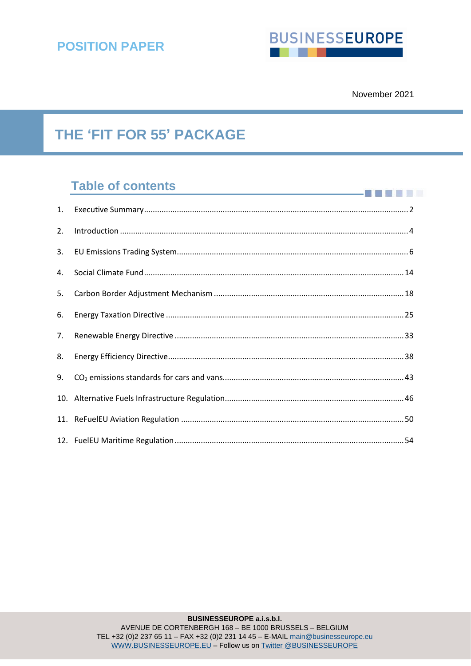

**THEFT** 

# **THE 'FIT FOR 55' PACKAGE**

# **Table of contents**

| 1. |  |
|----|--|
| 2. |  |
| 3. |  |
| 4. |  |
| 5. |  |
| 6. |  |
| 7. |  |
| 8. |  |
| 9. |  |
|    |  |
|    |  |
|    |  |

EU Transparency register 3978240953-79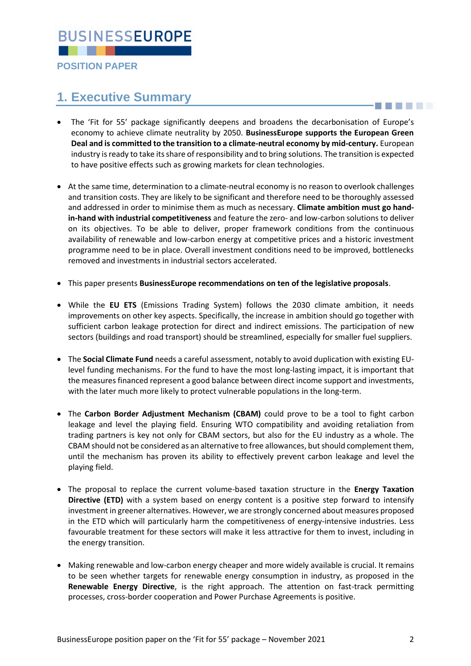

**POSITION PAPER**

# <span id="page-1-0"></span>**1. Executive Summary**

- The 'Fit for 55' package significantly deepens and broadens the decarbonisation of Europe's economy to achieve climate neutrality by 2050. **BusinessEurope supports the European Green Deal and is committed to the transition to a climate-neutral economy by mid-century.** European industry is ready to take its share of responsibility and to bring solutions. The transition is expected to have positive effects such as growing markets for clean technologies.
- At the same time, determination to a climate-neutral economy is no reason to overlook challenges and transition costs. They are likely to be significant and therefore need to be thoroughly assessed and addressed in order to minimise them as much as necessary. **Climate ambition must go handin-hand with industrial competitiveness** and feature the zero- and low-carbon solutions to deliver on its objectives. To be able to deliver, proper framework conditions from the continuous availability of renewable and low-carbon energy at competitive prices and a historic investment programme need to be in place. Overall investment conditions need to be improved, bottlenecks removed and investments in industrial sectors accelerated.
- This paper presents **BusinessEurope recommendations on ten of the legislative proposals**.
- While the **EU ETS** (Emissions Trading System) follows the 2030 climate ambition, it needs improvements on other key aspects. Specifically, the increase in ambition should go together with sufficient carbon leakage protection for direct and indirect emissions. The participation of new sectors (buildings and road transport) should be streamlined, especially for smaller fuel suppliers.
- The **Social Climate Fund** needs a careful assessment, notably to avoid duplication with existing EUlevel funding mechanisms. For the fund to have the most long-lasting impact, it is important that the measures financed represent a good balance between direct income support and investments, with the later much more likely to protect vulnerable populations in the long-term.
- The **Carbon Border Adjustment Mechanism (CBAM)** could prove to be a tool to fight carbon leakage and level the playing field. Ensuring WTO compatibility and avoiding retaliation from trading partners is key not only for CBAM sectors, but also for the EU industry as a whole. The CBAM should not be considered as an alternative to free allowances, but should complement them, until the mechanism has proven its ability to effectively prevent carbon leakage and level the playing field.
- The proposal to replace the current volume-based taxation structure in the **Energy Taxation Directive (ETD)** with a system based on energy content is a positive step forward to intensify investment in greener alternatives. However, we are strongly concerned about measures proposed in the ETD which will particularly harm the competitiveness of energy-intensive industries. Less favourable treatment for these sectors will make it less attractive for them to invest, including in the energy transition.
- Making renewable and low-carbon energy cheaper and more widely available is crucial. It remains to be seen whether targets for renewable energy consumption in industry, as proposed in the **Renewable Energy Directive**, is the right approach. The attention on fast-track permitting processes, cross-border cooperation and Power Purchase Agreements is positive.

S BIS STATE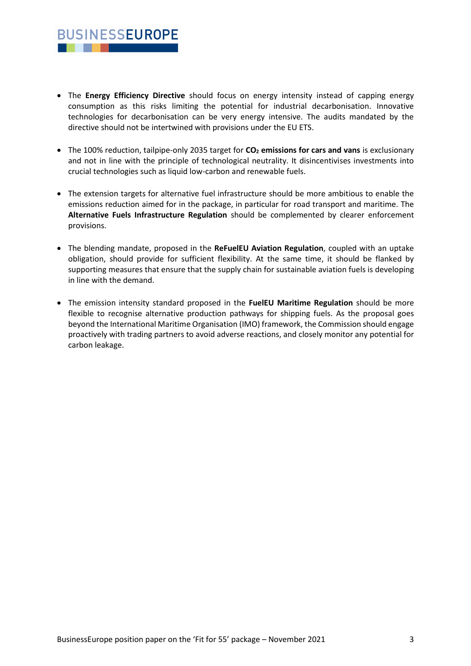• The **Energy Efficiency Directive** should focus on energy intensity instead of capping energy consumption as this risks limiting the potential for industrial decarbonisation. Innovative technologies for decarbonisation can be very energy intensive. The audits mandated by the directive should not be intertwined with provisions under the EU ETS.

**BUSINESSEUROPE** 

. . .

- The 100% reduction, tailpipe-only 2035 target for **CO<sup>2</sup> emissions for cars and vans** is exclusionary and not in line with the principle of technological neutrality. It disincentivises investments into crucial technologies such as liquid low-carbon and renewable fuels.
- The extension targets for alternative fuel infrastructure should be more ambitious to enable the emissions reduction aimed for in the package, in particular for road transport and maritime. The **Alternative Fuels Infrastructure Regulation** should be complemented by clearer enforcement provisions.
- The blending mandate, proposed in the **ReFuelEU Aviation Regulation**, coupled with an uptake obligation, should provide for sufficient flexibility. At the same time, it should be flanked by supporting measures that ensure that the supply chain for sustainable aviation fuels is developing in line with the demand.
- The emission intensity standard proposed in the **FuelEU Maritime Regulation** should be more flexible to recognise alternative production pathways for shipping fuels. As the proposal goes beyond the International Maritime Organisation (IMO) framework, the Commission should engage proactively with trading partners to avoid adverse reactions, and closely monitor any potential for carbon leakage.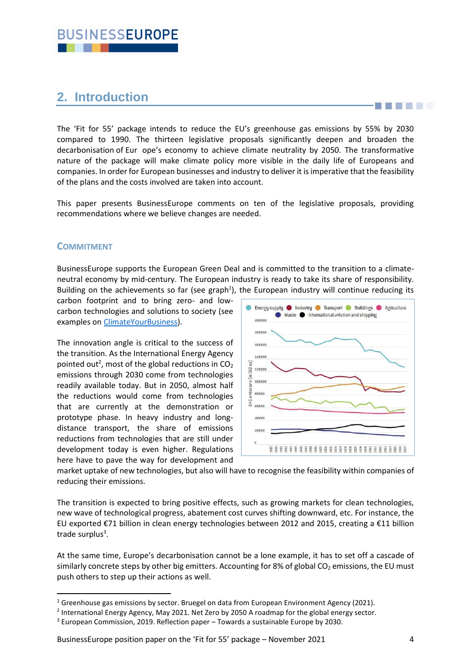# <span id="page-3-0"></span>**2. Introduction**

The 'Fit for 55' package intends to reduce the EU's greenhouse gas emissions by 55% by 2030 compared to 1990. The thirteen legislative proposals significantly deepen and broaden the decarbonisation of Eur ope's economy to achieve climate neutrality by 2050. The transformative nature of the package will make climate policy more visible in the daily life of Europeans and companies. In order for European businesses and industry to deliver it is imperative that the feasibility of the plans and the costs involved are taken into account.

This paper presents BusinessEurope comments on ten of the legislative proposals, providing recommendations where we believe changes are needed.

## **COMMITMENT**

BusinessEurope supports the European Green Deal and is committed to the transition to a climateneutral economy by mid-century. The European industry is ready to take its share of responsibility. Building on the achievements so far (see graph<sup>1</sup>), the European industry will continue reducing its

carbon footprint and to bring zero- and lowcarbon technologies and solutions to society (see examples on [ClimateYourBusiness\)](http://climateyourbusiness.eu/).

The innovation angle is critical to the success of the transition. As the International Energy Agency pointed out<sup>2</sup>, most of the global reductions in  $CO<sub>2</sub>$ emissions through 2030 come from technologies readily available today. But in 2050, almost half the reductions would come from technologies that are currently at the demonstration or prototype phase. In heavy industry and longdistance transport, the share of emissions reductions from technologies that are still under development today is even higher. Regulations here have to pave the way for development and



market uptake of new technologies, but also will have to recognise the feasibility within companies of reducing their emissions.

The transition is expected to bring positive effects, such as growing markets for clean technologies, new wave of technological progress, abatement cost curves shifting downward, etc. For instance, the EU exported €71 billion in clean energy technologies between 2012 and 2015, creating a €11 billion trade surplus<sup>3</sup>.

At the same time, Europe's decarbonisation cannot be a lone example, it has to set off a cascade of similarly concrete steps by other big emitters. Accounting for 8% of global  $CO<sub>2</sub>$  emissions, the EU must push others to step up their actions as well.

**Existence of the Community Community** 

<sup>&</sup>lt;sup>1</sup> Greenhouse gas emissions by sector. Bruegel on data from European Environment Agency (2021).

<sup>&</sup>lt;sup>2</sup> International Energy Agency, May 2021. Net Zero by 2050 A roadmap for the global energy sector.

<sup>3</sup> European Commission, 2019. Reflection paper – Towards a sustainable Europe by 2030.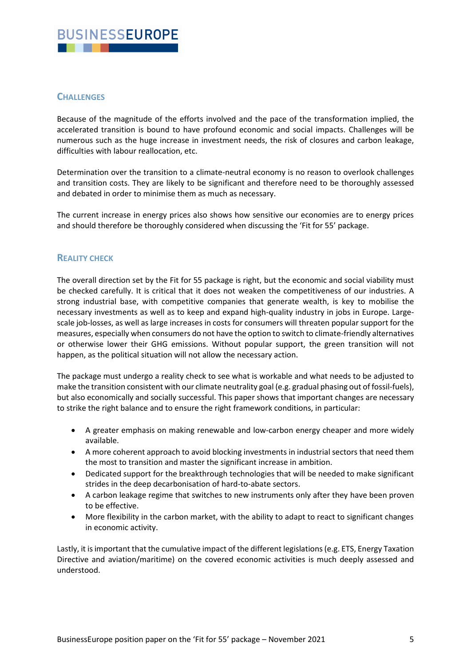## **CHALLENGES**

Because of the magnitude of the efforts involved and the pace of the transformation implied, the accelerated transition is bound to have profound economic and social impacts. Challenges will be numerous such as the huge increase in investment needs, the risk of closures and carbon leakage, difficulties with labour reallocation, etc.

Determination over the transition to a climate-neutral economy is no reason to overlook challenges and transition costs. They are likely to be significant and therefore need to be thoroughly assessed and debated in order to minimise them as much as necessary.

The current increase in energy prices also shows how sensitive our economies are to energy prices and should therefore be thoroughly considered when discussing the 'Fit for 55' package.

## **REALITY CHECK**

The overall direction set by the Fit for 55 package is right, but the economic and social viability must be checked carefully. It is critical that it does not weaken the competitiveness of our industries. A strong industrial base, with competitive companies that generate wealth, is key to mobilise the necessary investments as well as to keep and expand high-quality industry in jobs in Europe. Largescale job-losses, as well as large increases in costs for consumers will threaten popular support for the measures, especially when consumers do not have the option to switch to climate-friendly alternatives or otherwise lower their GHG emissions. Without popular support, the green transition will not happen, as the political situation will not allow the necessary action.

The package must undergo a reality check to see what is workable and what needs to be adjusted to make the transition consistent with our climate neutrality goal (e.g. gradual phasing out of fossil-fuels), but also economically and socially successful. This paper shows that important changes are necessary to strike the right balance and to ensure the right framework conditions, in particular:

- A greater emphasis on making renewable and low-carbon energy cheaper and more widely available.
- A more coherent approach to avoid blocking investments in industrial sectors that need them the most to transition and master the significant increase in ambition.
- Dedicated support for the breakthrough technologies that will be needed to make significant strides in the deep decarbonisation of hard-to-abate sectors.
- A carbon leakage regime that switches to new instruments only after they have been proven to be effective.
- More flexibility in the carbon market, with the ability to adapt to react to significant changes in economic activity.

<span id="page-4-0"></span>Lastly, it is important that the cumulative impact of the different legislations(e.g. ETS, Energy Taxation Directive and aviation/maritime) on the covered economic activities is much deeply assessed and understood.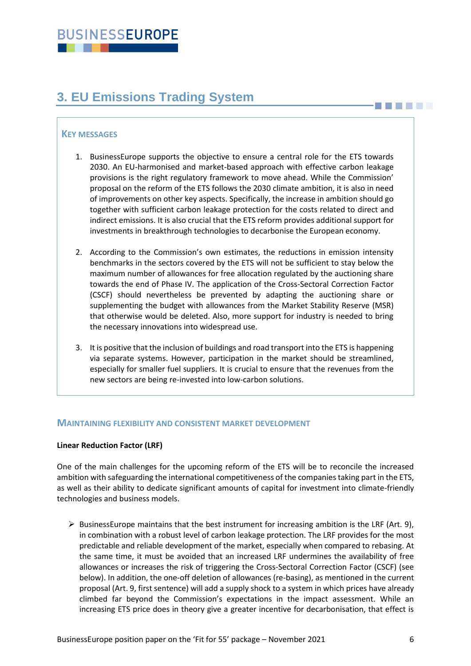# **3. EU Emissions Trading System**

## **KEY MESSAGES**

- 1. BusinessEurope supports the objective to ensure a central role for the ETS towards 2030. An EU-harmonised and market-based approach with effective carbon leakage provisions is the right regulatory framework to move ahead. While the Commission' proposal on the reform of the ETS follows the 2030 climate ambition, it is also in need of improvements on other key aspects. Specifically, the increase in ambition should go together with sufficient carbon leakage protection for the costs related to direct and indirect emissions. It is also crucial that the ETS reform provides additional support for investments in breakthrough technologies to decarbonise the European economy.
- 2. According to the Commission's own estimates, the reductions in emission intensity benchmarks in the sectors covered by the ETS will not be sufficient to stay below the maximum number of allowances for free allocation regulated by the auctioning share towards the end of Phase IV. The application of the Cross-Sectoral Correction Factor (CSCF) should nevertheless be prevented by adapting the auctioning share or supplementing the budget with allowances from the Market Stability Reserve (MSR) that otherwise would be deleted. Also, more support for industry is needed to bring the necessary innovations into widespread use.
- 3. It is positive that the inclusion of buildings and road transport into the ETS is happening via separate systems. However, participation in the market should be streamlined, especially for smaller fuel suppliers. It is crucial to ensure that the revenues from the new sectors are being re-invested into low-carbon solutions.

## **MAINTAINING FLEXIBILITY AND CONSISTENT MARKET DEVELOPMENT**

#### **Linear Reduction Factor (LRF)**

One of the main challenges for the upcoming reform of the ETS will be to reconcile the increased ambition with safeguarding the international competitiveness of the companies taking part in the ETS, as well as their ability to dedicate significant amounts of capital for investment into climate-friendly technologies and business models.

 $\triangleright$  BusinessEurope maintains that the best instrument for increasing ambition is the LRF (Art. 9), in combination with a robust level of carbon leakage protection. The LRF provides for the most predictable and reliable development of the market, especially when compared to rebasing. At the same time, it must be avoided that an increased LRF undermines the availability of free allowances or increases the risk of triggering the Cross-Sectoral Correction Factor (CSCF) (see below). In addition, the one-off deletion of allowances (re-basing), as mentioned in the current proposal (Art. 9, first sentence) will add a supply shock to a system in which prices have already climbed far beyond the Commission's expectations in the impact assessment. While an increasing ETS price does in theory give a greater incentive for decarbonisation, that effect is

**THE LET**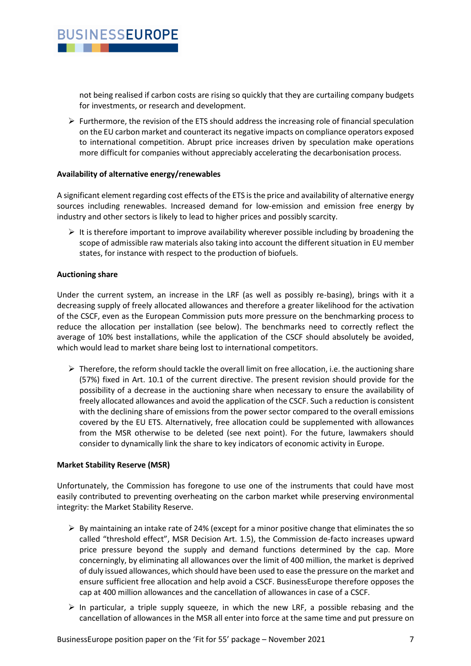

not being realised if carbon costs are rising so quickly that they are curtailing company budgets for investments, or research and development.

 $\triangleright$  Furthermore, the revision of the ETS should address the increasing role of financial speculation on the EU carbon market and counteract its negative impacts on compliance operators exposed to international competition. Abrupt price increases driven by speculation make operations more difficult for companies without appreciably accelerating the decarbonisation process.

#### **Availability of alternative energy/renewables**

A significant element regarding cost effects of the ETS is the price and availability of alternative energy sources including renewables. Increased demand for low-emission and emission free energy by industry and other sectors is likely to lead to higher prices and possibly scarcity.

 $\triangleright$  It is therefore important to improve availability wherever possible including by broadening the scope of admissible raw materials also taking into account the different situation in EU member states, for instance with respect to the production of biofuels.

#### **Auctioning share**

Under the current system, an increase in the LRF (as well as possibly re-basing), brings with it a decreasing supply of freely allocated allowances and therefore a greater likelihood for the activation of the CSCF, even as the European Commission puts more pressure on the benchmarking process to reduce the allocation per installation (see below). The benchmarks need to correctly reflect the average of 10% best installations, while the application of the CSCF should absolutely be avoided, which would lead to market share being lost to international competitors.

 $\triangleright$  Therefore, the reform should tackle the overall limit on free allocation, i.e. the auctioning share (57%) fixed in Art. 10.1 of the current directive. The present revision should provide for the possibility of a decrease in the auctioning share when necessary to ensure the availability of freely allocated allowances and avoid the application of the CSCF. Such a reduction is consistent with the declining share of emissions from the power sector compared to the overall emissions covered by the EU ETS. Alternatively, free allocation could be supplemented with allowances from the MSR otherwise to be deleted (see next point). For the future, lawmakers should consider to dynamically link the share to key indicators of economic activity in Europe.

#### **Market Stability Reserve (MSR)**

Unfortunately, the Commission has foregone to use one of the instruments that could have most easily contributed to preventing overheating on the carbon market while preserving environmental integrity: the Market Stability Reserve.

- $\triangleright$  By maintaining an intake rate of 24% (except for a minor positive change that eliminates the so called "threshold effect", MSR Decision Art. 1.5), the Commission de-facto increases upward price pressure beyond the supply and demand functions determined by the cap. More concerningly, by eliminating all allowances over the limit of 400 million, the market is deprived of duly issued allowances, which should have been used to ease the pressure on the market and ensure sufficient free allocation and help avoid a CSCF. BusinessEurope therefore opposes the cap at 400 million allowances and the cancellation of allowances in case of a CSCF.
- $\triangleright$  In particular, a triple supply squeeze, in which the new LRF, a possible rebasing and the cancellation of allowances in the MSR all enter into force at the same time and put pressure on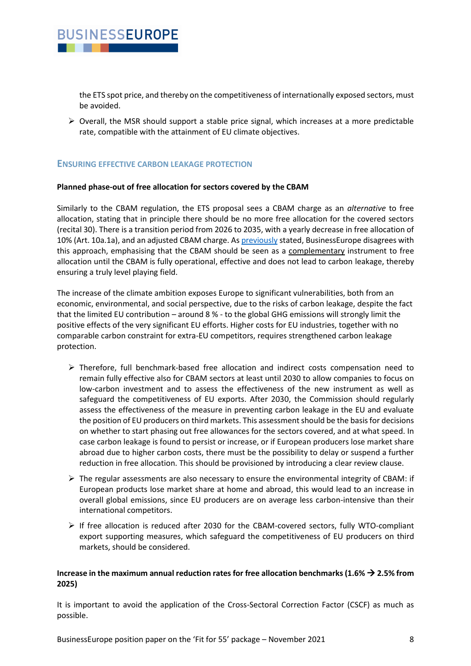

the ETS spot price, and thereby on the competitiveness of internationally exposed sectors, must be avoided.

 $\triangleright$  Overall, the MSR should support a stable price signal, which increases at a more predictable rate, compatible with the attainment of EU climate objectives.

### **ENSURING EFFECTIVE CARBON LEAKAGE PROTECTION**

#### **Planned phase-out of free allocation for sectors covered by the CBAM**

Similarly to the CBAM regulation, the ETS proposal sees a CBAM charge as an *alternative* to free allocation, stating that in principle there should be no more free allocation for the covered sectors (recital 30). There is a transition period from 2026 to 2035, with a yearly decrease in free allocation of 10% (Art. 10a.1a), and an adjusted CBAM charge. As [previously](https://www.businesseurope.eu/publications/cbam-ets-and-future-carbon-leakage-measures-letter-markus-j-beyrer-ursula-von-der-leyen) stated, BusinessEurope disagrees with this approach, emphasising that the CBAM should be seen as a complementary instrument to free allocation until the CBAM is fully operational, effective and does not lead to carbon leakage, thereby ensuring a truly level playing field.

The increase of the climate ambition exposes Europe to significant vulnerabilities, both from an economic, environmental, and social perspective, due to the risks of carbon leakage, despite the fact that the limited EU contribution – around 8 % - to the global GHG emissions will strongly limit the positive effects of the very significant EU efforts. Higher costs for EU industries, together with no comparable carbon constraint for extra-EU competitors, requires strengthened carbon leakage protection.

- ➢ Therefore, full benchmark-based free allocation and indirect costs compensation need to remain fully effective also for CBAM sectors at least until 2030 to allow companies to focus on low-carbon investment and to assess the effectiveness of the new instrument as well as safeguard the competitiveness of EU exports. After 2030, the Commission should regularly assess the effectiveness of the measure in preventing carbon leakage in the EU and evaluate the position of EU producers on third markets. This assessment should be the basis for decisions on whether to start phasing out free allowances for the sectors covered, and at what speed. In case carbon leakage is found to persist or increase, or if European producers lose market share abroad due to higher carbon costs, there must be the possibility to delay or suspend a further reduction in free allocation. This should be provisioned by introducing a clear review clause.
- $\triangleright$  The regular assessments are also necessary to ensure the environmental integrity of CBAM: if European products lose market share at home and abroad, this would lead to an increase in overall global emissions, since EU producers are on average less carbon-intensive than their international competitors.
- ➢ If free allocation is reduced after 2030 for the CBAM-covered sectors, fully WTO-compliant export supporting measures, which safeguard the competitiveness of EU producers on third markets, should be considered.

### **Increase in the maximum annual reduction rates for free allocation benchmarks (1.6%** → **2.5% from 2025)**

It is important to avoid the application of the Cross-Sectoral Correction Factor (CSCF) as much as possible.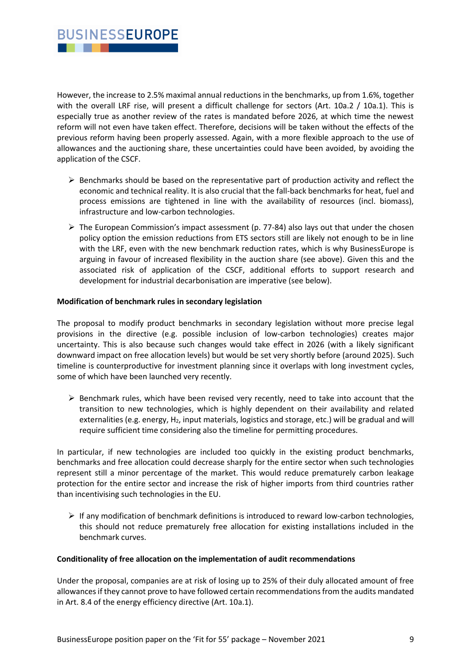However, the increase to 2.5% maximal annual reductions in the benchmarks, up from 1.6%, together with the overall LRF rise, will present a difficult challenge for sectors (Art. 10a.2 / 10a.1). This is especially true as another review of the rates is mandated before 2026, at which time the newest reform will not even have taken effect. Therefore, decisions will be taken without the effects of the previous reform having been properly assessed. Again, with a more flexible approach to the use of allowances and the auctioning share, these uncertainties could have been avoided, by avoiding the application of the CSCF.

- ➢ Benchmarks should be based on the representative part of production activity and reflect the economic and technical reality. It is also crucial that the fall-back benchmarks for heat, fuel and process emissions are tightened in line with the availability of resources (incl. biomass), infrastructure and low-carbon technologies.
- $\triangleright$  The European Commission's impact assessment (p. 77-84) also lays out that under the chosen policy option the emission reductions from ETS sectors still are likely not enough to be in line with the LRF, even with the new benchmark reduction rates, which is why BusinessEurope is arguing in favour of increased flexibility in the auction share (see above). Given this and the associated risk of application of the CSCF, additional efforts to support research and development for industrial decarbonisation are imperative (see below).

### **Modification of benchmark rules in secondary legislation**

The proposal to modify product benchmarks in secondary legislation without more precise legal provisions in the directive (e.g. possible inclusion of low-carbon technologies) creates major uncertainty. This is also because such changes would take effect in 2026 (with a likely significant downward impact on free allocation levels) but would be set very shortly before (around 2025). Such timeline is counterproductive for investment planning since it overlaps with long investment cycles, some of which have been launched very recently.

 $\triangleright$  Benchmark rules, which have been revised very recently, need to take into account that the transition to new technologies, which is highly dependent on their availability and related externalities (e.g. energy, H<sub>2</sub>, input materials, logistics and storage, etc.) will be gradual and will require sufficient time considering also the timeline for permitting procedures.

In particular, if new technologies are included too quickly in the existing product benchmarks, benchmarks and free allocation could decrease sharply for the entire sector when such technologies represent still a minor percentage of the market. This would reduce prematurely carbon leakage protection for the entire sector and increase the risk of higher imports from third countries rather than incentivising such technologies in the EU.

 $\triangleright$  If any modification of benchmark definitions is introduced to reward low-carbon technologies, this should not reduce prematurely free allocation for existing installations included in the benchmark curves.

#### **Conditionality of free allocation on the implementation of audit recommendations**

Under the proposal, companies are at risk of losing up to 25% of their duly allocated amount of free allowances if they cannot prove to have followed certain recommendations from the audits mandated in Art. 8.4 of the energy efficiency directive (Art. 10a.1).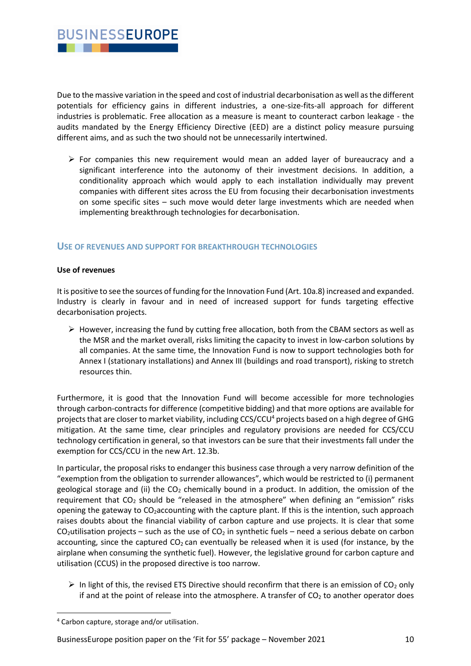

Due to the massive variation in the speed and cost of industrial decarbonisation as well as the different potentials for efficiency gains in different industries, a one-size-fits-all approach for different industries is problematic. Free allocation as a measure is meant to counteract carbon leakage - the audits mandated by the Energy Efficiency Directive (EED) are a distinct policy measure pursuing different aims, and as such the two should not be unnecessarily intertwined.

 $\triangleright$  For companies this new requirement would mean an added layer of bureaucracy and a significant interference into the autonomy of their investment decisions. In addition, a conditionality approach which would apply to each installation individually may prevent companies with different sites across the EU from focusing their decarbonisation investments on some specific sites – such move would deter large investments which are needed when implementing breakthrough technologies for decarbonisation.

## **USE OF REVENUES AND SUPPORT FOR BREAKTHROUGH TECHNOLOGIES**

#### **Use of revenues**

It is positive to see the sources of funding for the Innovation Fund (Art. 10a.8) increased and expanded. Industry is clearly in favour and in need of increased support for funds targeting effective decarbonisation projects.

 $\triangleright$  However, increasing the fund by cutting free allocation, both from the CBAM sectors as well as the MSR and the market overall, risks limiting the capacity to invest in low-carbon solutions by all companies. At the same time, the Innovation Fund is now to support technologies both for Annex I (stationary installations) and Annex III (buildings and road transport), risking to stretch resources thin.

Furthermore, it is good that the Innovation Fund will become accessible for more technologies through carbon-contracts for difference (competitive bidding) and that more options are available for projects that are closer to market viability, including CCS/CCU<sup>4</sup> projects based on a high degree of GHG mitigation. At the same time, clear principles and regulatory provisions are needed for CCS/CCU technology certification in general, so that investors can be sure that their investments fall under the exemption for CCS/CCU in the new Art. 12.3b.

In particular, the proposal risks to endanger this business case through a very narrow definition of the "exemption from the obligation to surrender allowances", which would be restricted to (i) permanent geological storage and (ii) the  $CO<sub>2</sub>$  chemically bound in a product. In addition, the omission of the requirement that  $CO<sub>2</sub>$  should be "released in the atmosphere" when defining an "emission" risks opening the gateway to CO2accounting with the capture plant. If this is the intention, such approach raises doubts about the financial viability of carbon capture and use projects. It is clear that some  $CO<sub>2</sub>$ utilisation projects – such as the use of  $CO<sub>2</sub>$  in synthetic fuels – need a serious debate on carbon accounting, since the captured  $CO<sub>2</sub>$  can eventually be released when it is used (for instance, by the airplane when consuming the synthetic fuel). However, the legislative ground for carbon capture and utilisation (CCUS) in the proposed directive is too narrow.

 $\triangleright$  In light of this, the revised ETS Directive should reconfirm that there is an emission of CO<sub>2</sub> only if and at the point of release into the atmosphere. A transfer of  $CO<sub>2</sub>$  to another operator does

BusinessEurope position paper on the 'Fit for 55' package – November 2021 10

<sup>4</sup> Carbon capture, storage and/or utilisation.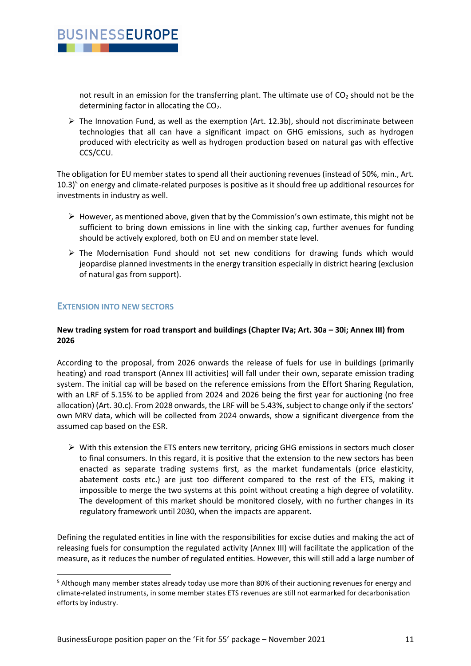

not result in an emission for the transferring plant. The ultimate use of  $CO<sub>2</sub>$  should not be the determining factor in allocating the  $CO<sub>2</sub>$ .

 $\triangleright$  The Innovation Fund, as well as the exemption (Art. 12.3b), should not discriminate between technologies that all can have a significant impact on GHG emissions, such as hydrogen produced with electricity as well as hydrogen production based on natural gas with effective CCS/CCU.

The obligation for EU member states to spend all their auctioning revenues (instead of 50%, min., Art.  $10.3$ <sup>5</sup> on energy and climate-related purposes is positive as it should free up additional resources for investments in industry as well.

- $\triangleright$  However, as mentioned above, given that by the Commission's own estimate, this might not be sufficient to bring down emissions in line with the sinking cap, further avenues for funding should be actively explored, both on EU and on member state level.
- ➢ The Modernisation Fund should not set new conditions for drawing funds which would jeopardise planned investments in the energy transition especially in district hearing (exclusion of natural gas from support).

## **EXTENSION INTO NEW SECTORS**

### **New trading system for road transport and buildings (Chapter IVa; Art. 30a – 30i; Annex III) from 2026**

According to the proposal, from 2026 onwards the release of fuels for use in buildings (primarily heating) and road transport (Annex III activities) will fall under their own, separate emission trading system. The initial cap will be based on the reference emissions from the Effort Sharing Regulation, with an LRF of 5.15% to be applied from 2024 and 2026 being the first year for auctioning (no free allocation) (Art. 30.c). From 2028 onwards, the LRF will be 5.43%, subject to change only if the sectors' own MRV data, which will be collected from 2024 onwards, show a significant divergence from the assumed cap based on the ESR.

 $\triangleright$  With this extension the ETS enters new territory, pricing GHG emissions in sectors much closer to final consumers. In this regard, it is positive that the extension to the new sectors has been enacted as separate trading systems first, as the market fundamentals (price elasticity, abatement costs etc.) are just too different compared to the rest of the ETS, making it impossible to merge the two systems at this point without creating a high degree of volatility. The development of this market should be monitored closely, with no further changes in its regulatory framework until 2030, when the impacts are apparent.

Defining the regulated entities in line with the responsibilities for excise duties and making the act of releasing fuels for consumption the regulated activity (Annex III) will facilitate the application of the measure, as it reduces the number of regulated entities. However, this will still add a large number of

<sup>5</sup> Although many member states already today use more than 80% of their auctioning revenues for energy and climate-related instruments, in some member states ETS revenues are still not earmarked for decarbonisation efforts by industry.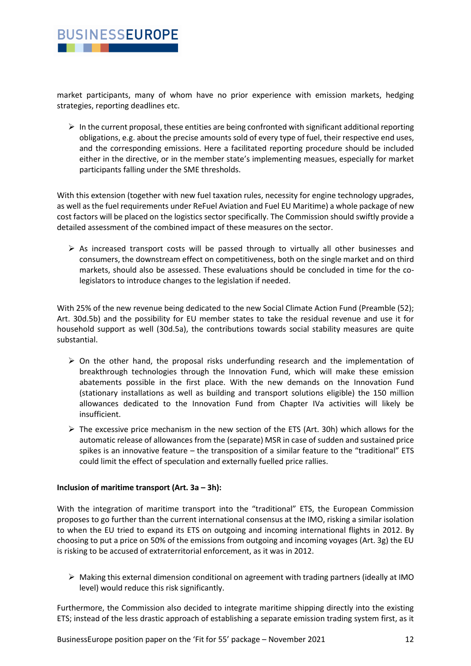

market participants, many of whom have no prior experience with emission markets, hedging strategies, reporting deadlines etc.

 $\triangleright$  In the current proposal, these entities are being confronted with significant additional reporting obligations, e.g. about the precise amounts sold of every type of fuel, their respective end uses, and the corresponding emissions. Here a facilitated reporting procedure should be included either in the directive, or in the member state's implementing measues, especially for market participants falling under the SME thresholds.

With this extension (together with new fuel taxation rules, necessity for engine technology upgrades, as well as the fuel requirements under ReFuel Aviation and Fuel EU Maritime) a whole package of new cost factors will be placed on the logistics sector specifically. The Commission should swiftly provide a detailed assessment of the combined impact of these measures on the sector.

 $\triangleright$  As increased transport costs will be passed through to virtually all other businesses and consumers, the downstream effect on competitiveness, both on the single market and on third markets, should also be assessed. These evaluations should be concluded in time for the colegislators to introduce changes to the legislation if needed.

With 25% of the new revenue being dedicated to the new Social Climate Action Fund (Preamble (52): Art. 30d.5b) and the possibility for EU member states to take the residual revenue and use it for household support as well (30d.5a), the contributions towards social stability measures are quite substantial.

- $\triangleright$  On the other hand, the proposal risks underfunding research and the implementation of breakthrough technologies through the Innovation Fund, which will make these emission abatements possible in the first place. With the new demands on the Innovation Fund (stationary installations as well as building and transport solutions eligible) the 150 million allowances dedicated to the Innovation Fund from Chapter IVa activities will likely be insufficient.
- $\triangleright$  The excessive price mechanism in the new section of the ETS (Art. 30h) which allows for the automatic release of allowances from the (separate) MSR in case of sudden and sustained price spikes is an innovative feature – the transposition of a similar feature to the "traditional" ETS could limit the effect of speculation and externally fuelled price rallies.

#### **Inclusion of maritime transport (Art. 3a – 3h):**

With the integration of maritime transport into the "traditional" ETS, the European Commission proposes to go further than the current international consensus at the IMO, risking a similar isolation to when the EU tried to expand its ETS on outgoing and incoming international flights in 2012. By choosing to put a price on 50% of the emissions from outgoing and incoming voyages (Art. 3g) the EU is risking to be accused of extraterritorial enforcement, as it was in 2012.

 $\triangleright$  Making this external dimension conditional on agreement with trading partners (ideally at IMO level) would reduce this risk significantly.

Furthermore, the Commission also decided to integrate maritime shipping directly into the existing ETS; instead of the less drastic approach of establishing a separate emission trading system first, as it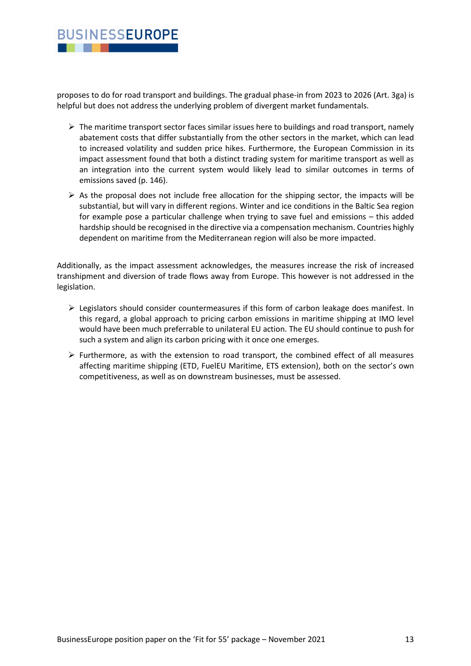## **BUSINESSEUROPE** . .

proposes to do for road transport and buildings. The gradual phase-in from 2023 to 2026 (Art. 3ga) is helpful but does not address the underlying problem of divergent market fundamentals.

- $\triangleright$  The maritime transport sector faces similar issues here to buildings and road transport, namely abatement costs that differ substantially from the other sectors in the market, which can lead to increased volatility and sudden price hikes. Furthermore, the European Commission in its impact assessment found that both a distinct trading system for maritime transport as well as an integration into the current system would likely lead to similar outcomes in terms of emissions saved (p. 146).
- $\triangleright$  As the proposal does not include free allocation for the shipping sector, the impacts will be substantial, but will vary in different regions. Winter and ice conditions in the Baltic Sea region for example pose a particular challenge when trying to save fuel and emissions – this added hardship should be recognised in the directive via a compensation mechanism. Countries highly dependent on maritime from the Mediterranean region will also be more impacted.

Additionally, as the impact assessment acknowledges, the measures increase the risk of increased transhipment and diversion of trade flows away from Europe. This however is not addressed in the legislation.

- $\triangleright$  Legislators should consider countermeasures if this form of carbon leakage does manifest. In this regard, a global approach to pricing carbon emissions in maritime shipping at IMO level would have been much preferrable to unilateral EU action. The EU should continue to push for such a system and align its carbon pricing with it once one emerges.
- $\triangleright$  Furthermore, as with the extension to road transport, the combined effect of all measures affecting maritime shipping (ETD, FuelEU Maritime, ETS extension), both on the sector's own competitiveness, as well as on downstream businesses, must be assessed.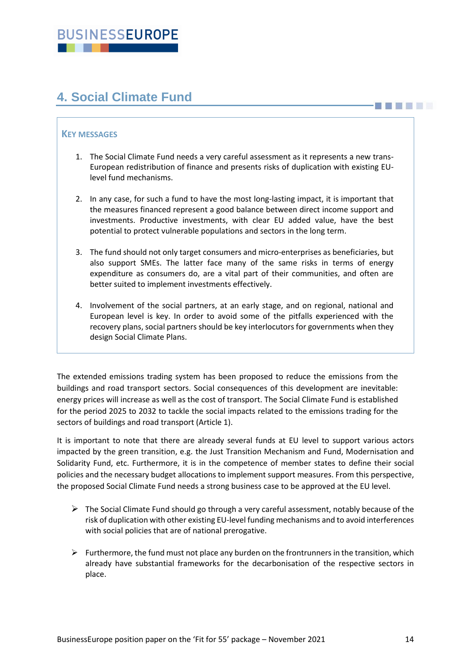# <span id="page-13-0"></span>**4. Social Climate Fund**

## **KEY MESSAGES**

- 1. The Social Climate Fund needs a very careful assessment as it represents a new trans-European redistribution of finance and presents risks of duplication with existing EUlevel fund mechanisms.
- 2. In any case, for such a fund to have the most long-lasting impact, it is important that the measures financed represent a good balance between direct income support and investments. Productive investments, with clear EU added value, have the best potential to protect vulnerable populations and sectors in the long term.
- 3. The fund should not only target consumers and micro-enterprises as beneficiaries, but also support SMEs. The latter face many of the same risks in terms of energy expenditure as consumers do, are a vital part of their communities, and often are better suited to implement investments effectively.
- 4. Involvement of the social partners, at an early stage, and on regional, national and European level is key. In order to avoid some of the pitfalls experienced with the recovery plans, social partners should be key interlocutors for governments when they design Social Climate Plans.

The extended emissions trading system has been proposed to reduce the emissions from the buildings and road transport sectors. Social consequences of this development are inevitable: energy prices will increase as well as the cost of transport. The Social Climate Fund is established for the period 2025 to 2032 to tackle the social impacts related to the emissions trading for the sectors of buildings and road transport (Article 1).

It is important to note that there are already several funds at EU level to support various actors impacted by the green transition, e.g. the Just Transition Mechanism and Fund, Modernisation and Solidarity Fund, etc. Furthermore, it is in the competence of member states to define their social policies and the necessary budget allocations to implement support measures. From this perspective, the proposed Social Climate Fund needs a strong business case to be approved at the EU level.

- $\triangleright$  The Social Climate Fund should go through a very careful assessment, notably because of the risk of duplication with other existing EU-level funding mechanisms and to avoid interferences with social policies that are of national prerogative.
- $\triangleright$  Furthermore, the fund must not place any burden on the frontrunners in the transition, which already have substantial frameworks for the decarbonisation of the respective sectors in place.

**THE REAL**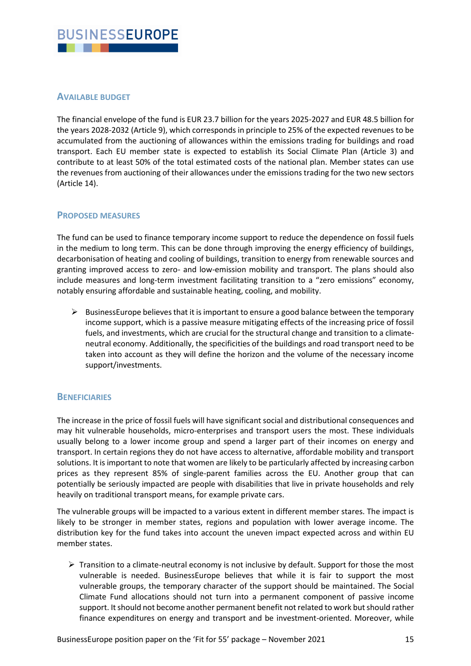

## **AVAILABLE BUDGET**

The financial envelope of the fund is EUR 23.7 billion for the years 2025-2027 and EUR 48.5 billion for the years 2028-2032 (Article 9), which corresponds in principle to 25% of the expected revenues to be accumulated from the auctioning of allowances within the emissions trading for buildings and road transport. Each EU member state is expected to establish its Social Climate Plan (Article 3) and contribute to at least 50% of the total estimated costs of the national plan. Member states can use the revenues from auctioning of their allowances under the emissions trading for the two new sectors (Article 14).

## **PROPOSED MEASURES**

The fund can be used to finance temporary income support to reduce the dependence on fossil fuels in the medium to long term. This can be done through improving the energy efficiency of buildings, decarbonisation of heating and cooling of buildings, transition to energy from renewable sources and granting improved access to zero- and low-emission mobility and transport. The plans should also include measures and long-term investment facilitating transition to a "zero emissions" economy, notably ensuring affordable and sustainable heating, cooling, and mobility.

 $\triangleright$  BusinessEurope believes that it is important to ensure a good balance between the temporary income support, which is a passive measure mitigating effects of the increasing price of fossil fuels, and investments, which are crucial for the structural change and transition to a climateneutral economy. Additionally, the specificities of the buildings and road transport need to be taken into account as they will define the horizon and the volume of the necessary income support/investments.

## **BENEFICIARIES**

The increase in the price of fossil fuels will have significant social and distributional consequences and may hit vulnerable households, micro-enterprises and transport users the most. These individuals usually belong to a lower income group and spend a larger part of their incomes on energy and transport. In certain regions they do not have access to alternative, affordable mobility and transport solutions. It is important to note that women are likely to be particularly affected by increasing carbon prices as they represent 85% of single-parent families across the EU. Another group that can potentially be seriously impacted are people with disabilities that live in private households and rely heavily on traditional transport means, for example private cars.

The vulnerable groups will be impacted to a various extent in different member stares. The impact is likely to be stronger in member states, regions and population with lower average income. The distribution key for the fund takes into account the uneven impact expected across and within EU member states.

 $\triangleright$  Transition to a climate-neutral economy is not inclusive by default. Support for those the most vulnerable is needed. BusinessEurope believes that while it is fair to support the most vulnerable groups, the temporary character of the support should be maintained. The Social Climate Fund allocations should not turn into a permanent component of passive income support. It should not become another permanent benefit not related to work but should rather finance expenditures on energy and transport and be investment-oriented. Moreover, while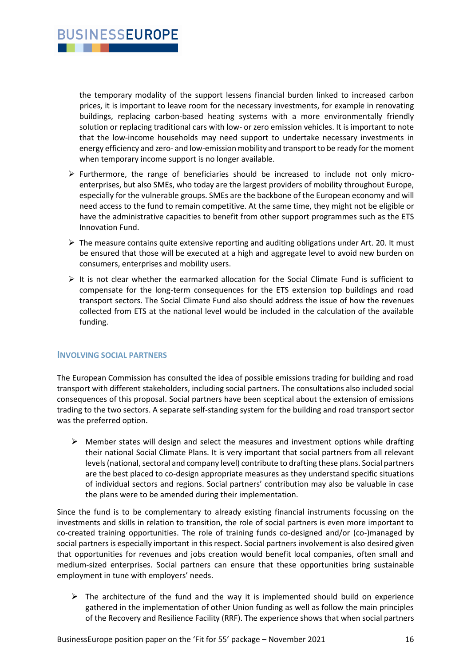the temporary modality of the support lessens financial burden linked to increased carbon prices, it is important to leave room for the necessary investments, for example in renovating buildings, replacing carbon-based heating systems with a more environmentally friendly

solution or replacing traditional cars with low- or zero emission vehicles. It is important to note that the low-income households may need support to undertake necessary investments in energy efficiency and zero- and low-emission mobility and transport to be ready for the moment when temporary income support is no longer available.

- $\triangleright$  Furthermore, the range of beneficiaries should be increased to include not only microenterprises, but also SMEs, who today are the largest providers of mobility throughout Europe, especially for the vulnerable groups. SMEs are the backbone of the European economy and will need access to the fund to remain competitive. At the same time, they might not be eligible or have the administrative capacities to benefit from other support programmes such as the ETS Innovation Fund.
- $\triangleright$  The measure contains quite extensive reporting and auditing obligations under Art. 20. It must be ensured that those will be executed at a high and aggregate level to avoid new burden on consumers, enterprises and mobility users.
- $\triangleright$  It is not clear whether the earmarked allocation for the Social Climate Fund is sufficient to compensate for the long-term consequences for the ETS extension top buildings and road transport sectors. The Social Climate Fund also should address the issue of how the revenues collected from ETS at the national level would be included in the calculation of the available funding.

#### **INVOLVING SOCIAL PARTNERS**

**BUSINESSEUROPE** 

The European Commission has consulted the idea of possible emissions trading for building and road transport with different stakeholders, including social partners. The consultations also included social consequences of this proposal. Social partners have been sceptical about the extension of emissions trading to the two sectors. A separate self-standing system for the building and road transport sector was the preferred option.

 $\triangleright$  Member states will design and select the measures and investment options while drafting their national Social Climate Plans. It is very important that social partners from all relevant levels (national, sectoral and company level) contribute to drafting these plans. Social partners are the best placed to co-design appropriate measures as they understand specific situations of individual sectors and regions. Social partners' contribution may also be valuable in case the plans were to be amended during their implementation.

Since the fund is to be complementary to already existing financial instruments focussing on the investments and skills in relation to transition, the role of social partners is even more important to co-created training opportunities. The role of training funds co-designed and/or (co-)managed by social partners is especially important in this respect. Social partners involvement is also desired given that opportunities for revenues and jobs creation would benefit local companies, often small and medium-sized enterprises. Social partners can ensure that these opportunities bring sustainable employment in tune with employers' needs.

➢ The architecture of the fund and the way it is implemented should build on experience gathered in the implementation of other Union funding as well as follow the main principles of the Recovery and Resilience Facility (RRF). The experience shows that when social partners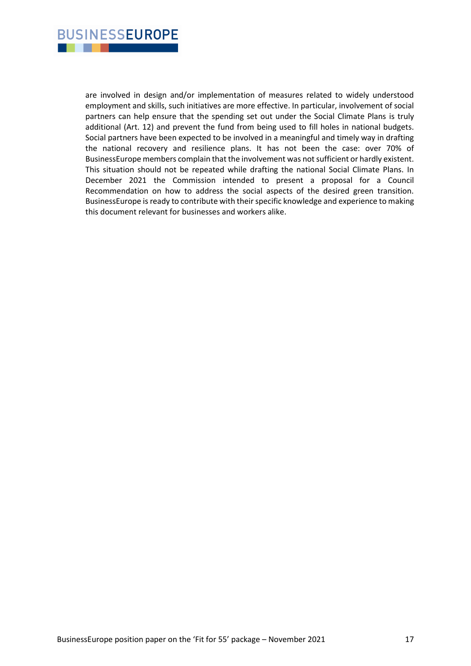

are involved in design and/or implementation of measures related to widely understood employment and skills, such initiatives are more effective. In particular, involvement of social partners can help ensure that the spending set out under the Social Climate Plans is truly additional (Art. 12) and prevent the fund from being used to fill holes in national budgets. Social partners have been expected to be involved in a meaningful and timely way in drafting the national recovery and resilience plans. It has not been the case: over 70% of BusinessEurope members complain that the involvement was not sufficient or hardly existent. This situation should not be repeated while drafting the national Social Climate Plans. In December 2021 the Commission intended to present a proposal for a Council Recommendation on how to address the social aspects of the desired green transition. BusinessEurope is ready to contribute with their specific knowledge and experience to making this document relevant for businesses and workers alike.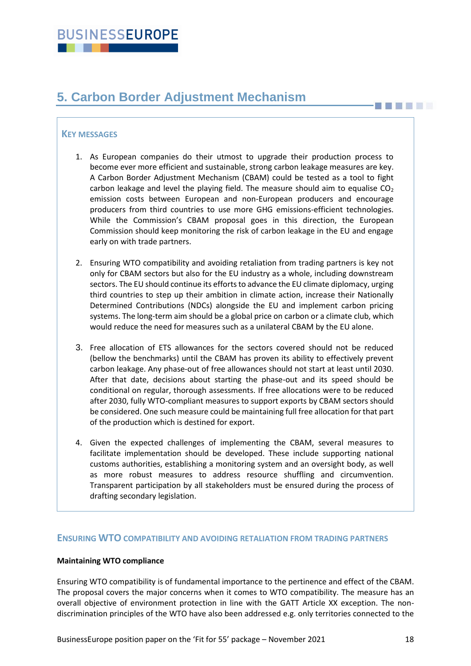# <span id="page-17-0"></span>**5. Carbon Border Adjustment Mechanism**

## **KEY MESSAGES**

- 1. As European companies do their utmost to upgrade their production process to become ever more efficient and sustainable, strong carbon leakage measures are key. A Carbon Border Adjustment Mechanism (CBAM) could be tested as a tool to fight carbon leakage and level the playing field. The measure should aim to equalise  $CO<sub>2</sub>$ emission costs between European and non-European producers and encourage producers from third countries to use more GHG emissions-efficient technologies. While the Commission's CBAM proposal goes in this direction, the European Commission should keep monitoring the risk of carbon leakage in the EU and engage early on with trade partners.
- 2. Ensuring WTO compatibility and avoiding retaliation from trading partners is key not only for CBAM sectors but also for the EU industry as a whole, including downstream sectors. The EU should continue its efforts to advance the EU climate diplomacy, urging third countries to step up their ambition in climate action, increase their Nationally Determined Contributions (NDCs) alongside the EU and implement carbon pricing systems. The long-term aim should be a global price on carbon or a climate club, which would reduce the need for measures such as a unilateral CBAM by the EU alone.
- 3. Free allocation of ETS allowances for the sectors covered should not be reduced (bellow the benchmarks) until the CBAM has proven its ability to effectively prevent carbon leakage. Any phase-out of free allowances should not start at least until 2030. After that date, decisions about starting the phase-out and its speed should be conditional on regular, thorough assessments. If free allocations were to be reduced after 2030, fully WTO-compliant measures to support exports by CBAM sectors should be considered. One such measure could be maintaining full free allocation for that part of the production which is destined for export.
- 4. Given the expected challenges of implementing the CBAM, several measures to facilitate implementation should be developed. These include supporting national customs authorities, establishing a monitoring system and an oversight body, as well as more robust measures to address resource shuffling and circumvention. Transparent participation by all stakeholders must be ensured during the process of drafting secondary legislation.

#### **ENSURING WTO COMPATIBILITY AND AVOIDING RETALIATION FROM TRADING PARTNERS**

#### **Maintaining WTO compliance**

Ensuring WTO compatibility is of fundamental importance to the pertinence and effect of the CBAM. The proposal covers the major concerns when it comes to WTO compatibility. The measure has an overall objective of environment protection in line with the GATT Article XX exception. The nondiscrimination principles of the WTO have also been addressed e.g. only territories connected to the

**THE LET**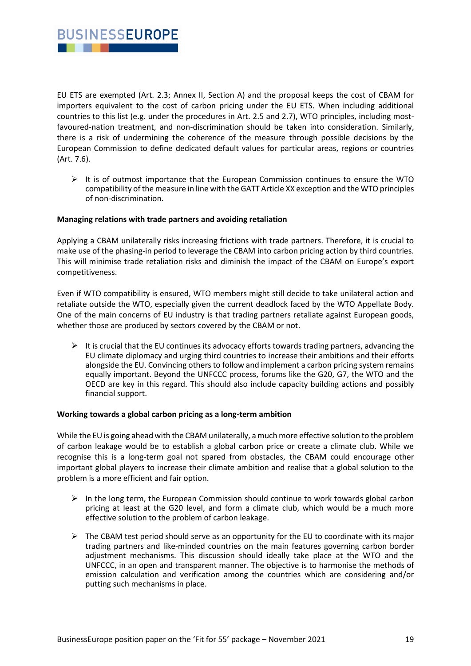

EU ETS are exempted (Art. 2.3; Annex II, Section A) and the proposal keeps the cost of CBAM for importers equivalent to the cost of carbon pricing under the EU ETS. When including additional countries to this list (e.g. under the procedures in Art. 2.5 and 2.7), WTO principles, including mostfavoured-nation treatment, and non-discrimination should be taken into consideration. Similarly, there is a risk of undermining the coherence of the measure through possible decisions by the European Commission to define dedicated default values for particular areas, regions or countries (Art. 7.6).

 $\triangleright$  It is of outmost importance that the European Commission continues to ensure the WTO compatibility of the measure in line with the GATT Article XX exception and the WTO principles of non-discrimination.

#### **Managing relations with trade partners and avoiding retaliation**

Applying a CBAM unilaterally risks increasing frictions with trade partners. Therefore, it is crucial to make use of the phasing-in period to leverage the CBAM into carbon pricing action by third countries. This will minimise trade retaliation risks and diminish the impact of the CBAM on Europe's export competitiveness.

Even if WTO compatibility is ensured, WTO members might still decide to take unilateral action and retaliate outside the WTO, especially given the current deadlock faced by the WTO Appellate Body. One of the main concerns of EU industry is that trading partners retaliate against European goods, whether those are produced by sectors covered by the CBAM or not.

 $\triangleright$  It is crucial that the EU continues its advocacy efforts towards trading partners, advancing the EU climate diplomacy and urging third countries to increase their ambitions and their efforts alongside the EU. Convincing others to follow and implement a carbon pricing system remains equally important. Beyond the UNFCCC process, forums like the G20, G7, the WTO and the OECD are key in this regard. This should also include capacity building actions and possibly financial support.

#### **Working towards a global carbon pricing as a long-term ambition**

While the EU is going ahead with the CBAM unilaterally, a much more effective solution to the problem of carbon leakage would be to establish a global carbon price or create a climate club. While we recognise this is a long-term goal not spared from obstacles, the CBAM could encourage other important global players to increase their climate ambition and realise that a global solution to the problem is a more efficient and fair option.

- $\triangleright$  In the long term, the European Commission should continue to work towards global carbon pricing at least at the G20 level, and form a climate club, which would be a much more effective solution to the problem of carbon leakage.
- $\triangleright$  The CBAM test period should serve as an opportunity for the EU to coordinate with its major trading partners and like-minded countries on the main features governing carbon border adjustment mechanisms. This discussion should ideally take place at the WTO and the UNFCCC, in an open and transparent manner. The objective is to harmonise the methods of emission calculation and verification among the countries which are considering and/or putting such mechanisms in place.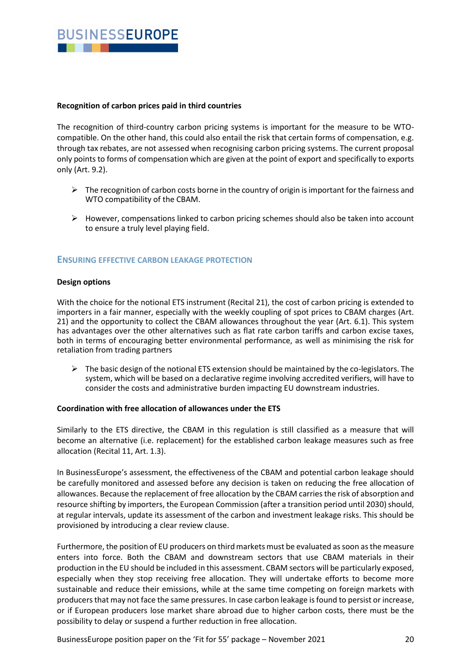

#### **Recognition of carbon prices paid in third countries**

The recognition of third-country carbon pricing systems is important for the measure to be WTOcompatible. On the other hand, this could also entail the risk that certain forms of compensation, e.g. through tax rebates, are not assessed when recognising carbon pricing systems. The current proposal only points to forms of compensation which are given at the point of export and specifically to exports only (Art. 9.2).

- $\triangleright$  The recognition of carbon costs borne in the country of origin is important for the fairness and WTO compatibility of the CBAM.
- $\triangleright$  However, compensations linked to carbon pricing schemes should also be taken into account to ensure a truly level playing field.

### **ENSURING EFFECTIVE CARBON LEAKAGE PROTECTION**

#### **Design options**

With the choice for the notional ETS instrument (Recital 21), the cost of carbon pricing is extended to importers in a fair manner, especially with the weekly coupling of spot prices to CBAM charges (Art. 21) and the opportunity to collect the CBAM allowances throughout the year (Art. 6.1). This system has advantages over the other alternatives such as flat rate carbon tariffs and carbon excise taxes, both in terms of encouraging better environmental performance, as well as minimising the risk for retaliation from trading partners

 $\triangleright$  The basic design of the notional ETS extension should be maintained by the co-legislators. The system, which will be based on a declarative regime involving accredited verifiers, will have to consider the costs and administrative burden impacting EU downstream industries.

#### **Coordination with free allocation of allowances under the ETS**

Similarly to the ETS directive, the CBAM in this regulation is still classified as a measure that will become an alternative (i.e. replacement) for the established carbon leakage measures such as free allocation (Recital 11, Art. 1.3).

In BusinessEurope's assessment, the effectiveness of the CBAM and potential carbon leakage should be carefully monitored and assessed before any decision is taken on reducing the free allocation of allowances. Because the replacement of free allocation by the CBAM carries the risk of absorption and resource shifting by importers, the European Commission (after a transition period until 2030) should, at regular intervals, update its assessment of the carbon and investment leakage risks. This should be provisioned by introducing a clear review clause.

Furthermore, the position of EU producers on third markets must be evaluated as soon as the measure enters into force. Both the CBAM and downstream sectors that use CBAM materials in their production in the EU should be included in this assessment. CBAM sectors will be particularly exposed, especially when they stop receiving free allocation. They will undertake efforts to become more sustainable and reduce their emissions, while at the same time competing on foreign markets with producers that may not face the same pressures. In case carbon leakage is found to persist or increase, or if European producers lose market share abroad due to higher carbon costs, there must be the possibility to delay or suspend a further reduction in free allocation.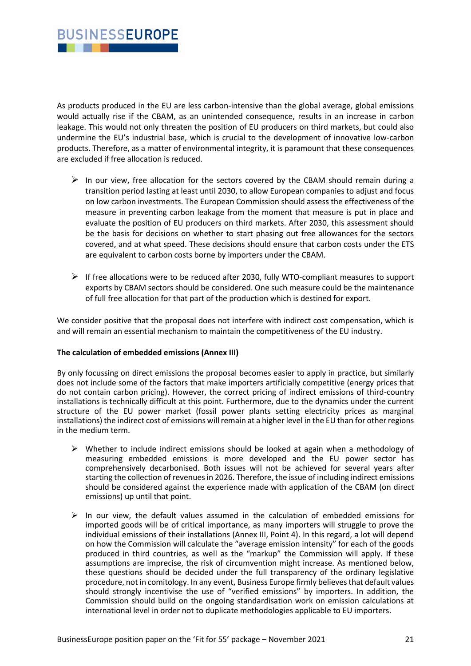

As products produced in the EU are less carbon-intensive than the global average, global emissions would actually rise if the CBAM, as an unintended consequence, results in an increase in carbon leakage. This would not only threaten the position of EU producers on third markets, but could also undermine the EU's industrial base, which is crucial to the development of innovative low-carbon products. Therefore, as a matter of environmental integrity, it is paramount that these consequences are excluded if free allocation is reduced.

- $\triangleright$  In our view, free allocation for the sectors covered by the CBAM should remain during a transition period lasting at least until 2030, to allow European companies to adjust and focus on low carbon investments. The European Commission should assess the effectiveness of the measure in preventing carbon leakage from the moment that measure is put in place and evaluate the position of EU producers on third markets. After 2030, this assessment should be the basis for decisions on whether to start phasing out free allowances for the sectors covered, and at what speed. These decisions should ensure that carbon costs under the ETS are equivalent to carbon costs borne by importers under the CBAM.
- $\triangleright$  If free allocations were to be reduced after 2030, fully WTO-compliant measures to support exports by CBAM sectors should be considered. One such measure could be the maintenance of full free allocation for that part of the production which is destined for export.

We consider positive that the proposal does not interfere with indirect cost compensation, which is and will remain an essential mechanism to maintain the competitiveness of the EU industry.

#### **The calculation of embedded emissions (Annex III)**

By only focussing on direct emissions the proposal becomes easier to apply in practice, but similarly does not include some of the factors that make importers artificially competitive (energy prices that do not contain carbon pricing). However, the correct pricing of indirect emissions of third-country installations is technically difficult at this point. Furthermore, due to the dynamics under the current structure of the EU power market (fossil power plants setting electricity prices as marginal installations) the indirect cost of emissions will remain at a higher level in the EU than for other regions in the medium term.

- $\triangleright$  Whether to include indirect emissions should be looked at again when a methodology of measuring embedded emissions is more developed and the EU power sector has comprehensively decarbonised. Both issues will not be achieved for several years after starting the collection of revenues in 2026. Therefore, the issue of including indirect emissions should be considered against the experience made with application of the CBAM (on direct emissions) up until that point.
- $\triangleright$  In our view, the default values assumed in the calculation of embedded emissions for imported goods will be of critical importance, as many importers will struggle to prove the individual emissions of their installations (Annex III, Point 4). In this regard, a lot will depend on how the Commission will calculate the "average emission intensity" for each of the goods produced in third countries, as well as the "markup" the Commission will apply. If these assumptions are imprecise, the risk of circumvention might increase. As mentioned below, these questions should be decided under the full transparency of the ordinary legislative procedure, not in comitology. In any event, Business Europe firmly believes that default values should strongly incentivise the use of "verified emissions" by importers. In addition, the Commission should build on the ongoing standardisation work on emission calculations at international level in order not to duplicate methodologies applicable to EU importers.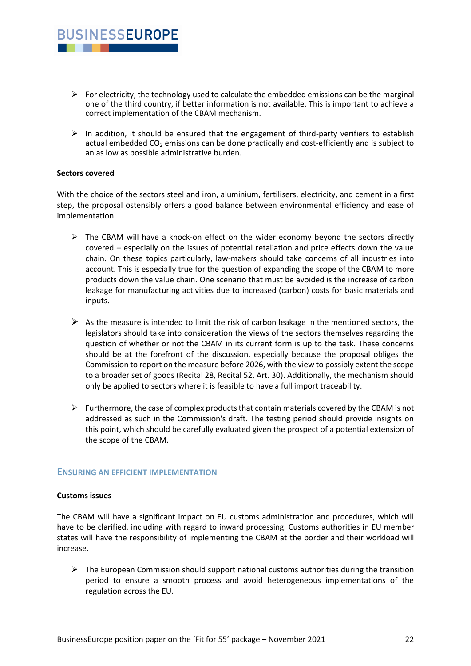- $\triangleright$  For electricity, the technology used to calculate the embedded emissions can be the marginal one of the third country, if better information is not available. This is important to achieve a correct implementation of the CBAM mechanism.
- ➢ In addition, it should be ensured that the engagement of third-party verifiers to establish actual embedded  $CO<sub>2</sub>$  emissions can be done practically and cost-efficiently and is subject to an as low as possible administrative burden.

#### **Sectors covered**

**BUSINESSEUROPE** 

With the choice of the sectors steel and iron, aluminium, fertilisers, electricity, and cement in a first step, the proposal ostensibly offers a good balance between environmental efficiency and ease of implementation.

- $\triangleright$  The CBAM will have a knock-on effect on the wider economy beyond the sectors directly covered – especially on the issues of potential retaliation and price effects down the value chain. On these topics particularly, law-makers should take concerns of all industries into account. This is especially true for the question of expanding the scope of the CBAM to more products down the value chain. One scenario that must be avoided is the increase of carbon leakage for manufacturing activities due to increased (carbon) costs for basic materials and inputs.
- $\triangleright$  As the measure is intended to limit the risk of carbon leakage in the mentioned sectors, the legislators should take into consideration the views of the sectors themselves regarding the question of whether or not the CBAM in its current form is up to the task. These concerns should be at the forefront of the discussion, especially because the proposal obliges the Commission to report on the measure before 2026, with the view to possibly extent the scope to a broader set of goods (Recital 28, Recital 52, Art. 30). Additionally, the mechanism should only be applied to sectors where it is feasible to have a full import traceability.
- $\triangleright$  Furthermore, the case of complex products that contain materials covered by the CBAM is not addressed as such in the Commission's draft. The testing period should provide insights on this point, which should be carefully evaluated given the prospect of a potential extension of the scope of the CBAM.

#### **ENSURING AN EFFICIENT IMPLEMENTATION**

#### **Customs issues**

The CBAM will have a significant impact on EU customs administration and procedures, which will have to be clarified, including with regard to inward processing. Customs authorities in EU member states will have the responsibility of implementing the CBAM at the border and their workload will increase.

 $\triangleright$  The European Commission should support national customs authorities during the transition period to ensure a smooth process and avoid heterogeneous implementations of the regulation across the EU.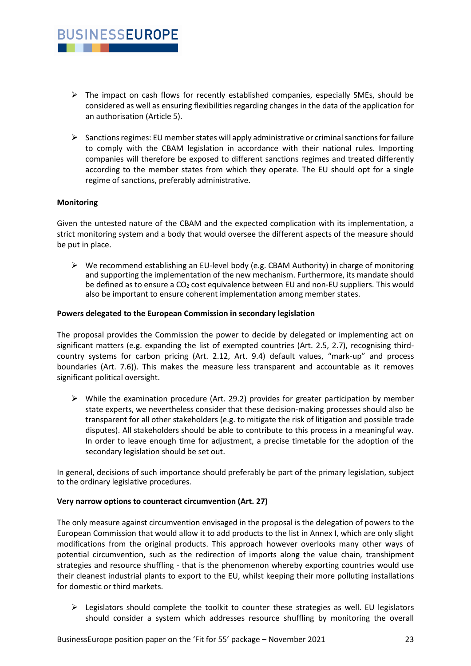- $\triangleright$  The impact on cash flows for recently established companies, especially SMEs, should be considered as well as ensuring flexibilities regarding changes in the data of the application for an authorisation (Article 5).
- $\triangleright$  Sanctions regimes: EU member states will apply administrative or criminal sanctions for failure to comply with the CBAM legislation in accordance with their national rules. Importing companies will therefore be exposed to different sanctions regimes and treated differently according to the member states from which they operate. The EU should opt for a single regime of sanctions, preferably administrative.

#### **Monitoring**

**BUSINESSEUROPE** 

. . .

Given the untested nature of the CBAM and the expected complication with its implementation, a strict monitoring system and a body that would oversee the different aspects of the measure should be put in place.

 $\triangleright$  We recommend establishing an EU-level body (e.g. CBAM Authority) in charge of monitoring and supporting the implementation of the new mechanism. Furthermore, its mandate should be defined as to ensure a  $CO<sub>2</sub>$  cost equivalence between EU and non-EU suppliers. This would also be important to ensure coherent implementation among member states.

#### **Powers delegated to the European Commission in secondary legislation**

The proposal provides the Commission the power to decide by delegated or implementing act on significant matters (e.g. expanding the list of exempted countries (Art. 2.5, 2.7), recognising thirdcountry systems for carbon pricing (Art. 2.12, Art. 9.4) default values, "mark-up" and process boundaries (Art. 7.6)). This makes the measure less transparent and accountable as it removes significant political oversight.

 $\triangleright$  While the examination procedure (Art. 29.2) provides for greater participation by member state experts, we nevertheless consider that these decision-making processes should also be transparent for all other stakeholders (e.g. to mitigate the risk of litigation and possible trade disputes). All stakeholders should be able to contribute to this process in a meaningful way. In order to leave enough time for adjustment, a precise timetable for the adoption of the secondary legislation should be set out.

In general, decisions of such importance should preferably be part of the primary legislation, subject to the ordinary legislative procedures.

#### **Very narrow options to counteract circumvention (Art. 27)**

The only measure against circumvention envisaged in the proposal is the delegation of powers to the European Commission that would allow it to add products to the list in Annex I, which are only slight modifications from the original products. This approach however overlooks many other ways of potential circumvention, such as the redirection of imports along the value chain, transhipment strategies and resource shuffling - that is the phenomenon whereby exporting countries would use their cleanest industrial plants to export to the EU, whilst keeping their more polluting installations for domestic or third markets.

 $\triangleright$  Legislators should complete the toolkit to counter these strategies as well. EU legislators should consider a system which addresses resource shuffling by monitoring the overall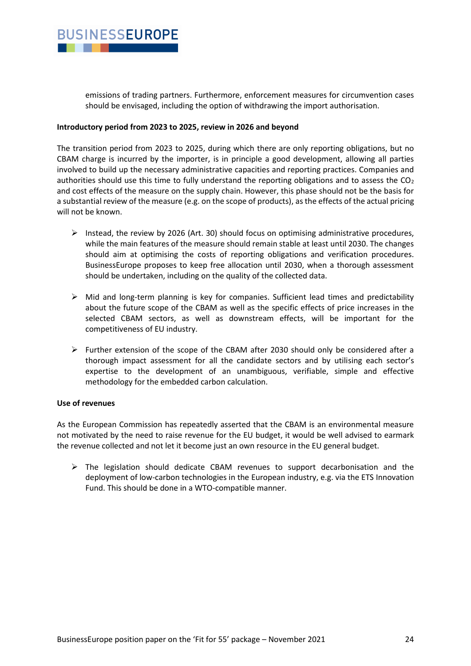

emissions of trading partners. Furthermore, enforcement measures for circumvention cases should be envisaged, including the option of withdrawing the import authorisation.

#### **Introductory period from 2023 to 2025, review in 2026 and beyond**

The transition period from 2023 to 2025, during which there are only reporting obligations, but no CBAM charge is incurred by the importer, is in principle a good development, allowing all parties involved to build up the necessary administrative capacities and reporting practices. Companies and authorities should use this time to fully understand the reporting obligations and to assess the  $CO<sub>2</sub>$ and cost effects of the measure on the supply chain. However, this phase should not be the basis for a substantial review of the measure (e.g. on the scope of products), as the effects of the actual pricing will not be known.

- $\triangleright$  Instead, the review by 2026 (Art. 30) should focus on optimising administrative procedures, while the main features of the measure should remain stable at least until 2030. The changes should aim at optimising the costs of reporting obligations and verification procedures. BusinessEurope proposes to keep free allocation until 2030, when a thorough assessment should be undertaken, including on the quality of the collected data.
- ➢ Mid and long-term planning is key for companies. Sufficient lead times and predictability about the future scope of the CBAM as well as the specific effects of price increases in the selected CBAM sectors, as well as downstream effects, will be important for the competitiveness of EU industry.
- ➢ Further extension of the scope of the CBAM after 2030 should only be considered after a thorough impact assessment for all the candidate sectors and by utilising each sector's expertise to the development of an unambiguous, verifiable, simple and effective methodology for the embedded carbon calculation.

#### **Use of revenues**

As the European Commission has repeatedly asserted that the CBAM is an environmental measure not motivated by the need to raise revenue for the EU budget, it would be well advised to earmark the revenue collected and not let it become just an own resource in the EU general budget.

 $\triangleright$  The legislation should dedicate CBAM revenues to support decarbonisation and the deployment of low-carbon technologies in the European industry, e.g. via the ETS Innovation Fund. This should be done in a WTO-compatible manner.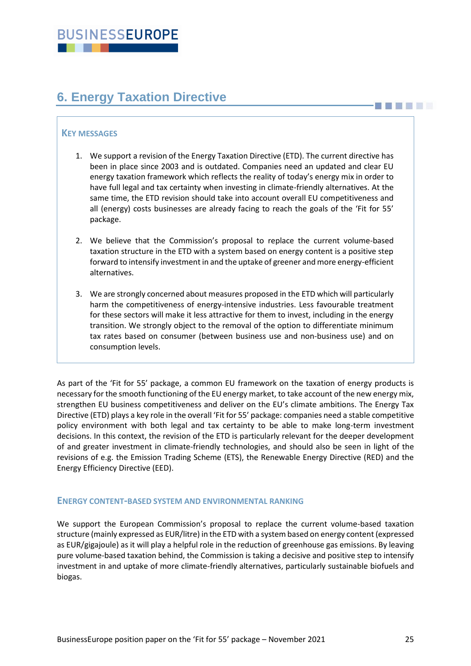# <span id="page-24-0"></span>**6. Energy Taxation Directive**

## **KEY MESSAGES**

- 1. We support a revision of the Energy Taxation Directive (ETD). The current directive has been in place since 2003 and is outdated. Companies need an updated and clear EU energy taxation framework which reflects the reality of today's energy mix in order to have full legal and tax certainty when investing in climate-friendly alternatives. At the same time, the ETD revision should take into account overall EU competitiveness and all (energy) costs businesses are already facing to reach the goals of the 'Fit for 55' package.
- 2. We believe that the Commission's proposal to replace the current volume-based taxation structure in the ETD with a system based on energy content is a positive step forward to intensify investment in and the uptake of greener and more energy-efficient alternatives.
- 3. We are strongly concerned about measures proposed in the ETD which will particularly harm the competitiveness of energy-intensive industries. Less favourable treatment for these sectors will make it less attractive for them to invest, including in the energy transition. We strongly object to the removal of the option to differentiate minimum tax rates based on consumer (between business use and non-business use) and on consumption levels.

As part of the 'Fit for 55' package, a common EU framework on the taxation of energy products is necessary for the smooth functioning of the EU energy market, to take account of the new energy mix, strengthen EU business competitiveness and deliver on the EU's climate ambitions. The Energy Tax Directive (ETD) plays a key role in the overall 'Fit for 55' package: companies need a stable competitive policy environment with both legal and tax certainty to be able to make long-term investment decisions. In this context, the revision of the ETD is particularly relevant for the deeper development of and greater investment in climate-friendly technologies, and should also be seen in light of the revisions of e.g. the Emission Trading Scheme (ETS), the Renewable Energy Directive (RED) and the Energy Efficiency Directive (EED).

#### **ENERGY CONTENT-BASED SYSTEM AND ENVIRONMENTAL RANKING**

We support the European Commission's proposal to replace the current volume-based taxation structure (mainly expressed as EUR/litre) in the ETD with a system based on energy content (expressed as EUR/gigajoule) as it will play a helpful role in the reduction of greenhouse gas emissions. By leaving pure volume-based taxation behind, the Commission is taking a decisive and positive step to intensify investment in and uptake of more climate-friendly alternatives, particularly sustainable biofuels and biogas.

**BILLER**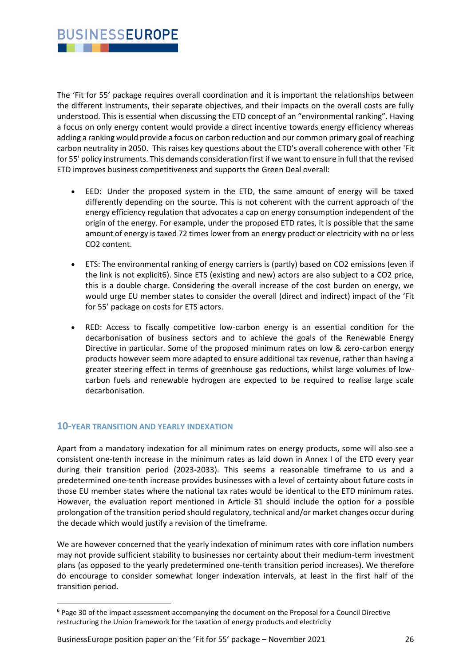

The 'Fit for 55' package requires overall coordination and it is important the relationships between the different instruments, their separate objectives, and their impacts on the overall costs are fully understood. This is essential when discussing the ETD concept of an "environmental ranking". Having a focus on only energy content would provide a direct incentive towards energy efficiency whereas adding a ranking would provide a focus on carbon reduction and our common primary goal of reaching carbon neutrality in 2050. This raises key questions about the ETD's overall coherence with other 'Fit for 55' policy instruments. This demands consideration first if we want to ensure in full that the revised ETD improves business competitiveness and supports the Green Deal overall:

- EED: Under the proposed system in the ETD, the same amount of energy will be taxed differently depending on the source. This is not coherent with the current approach of the energy efficiency regulation that advocates a cap on energy consumption independent of the origin of the energy. For example, under the proposed ETD rates, it is possible that the same amount of energy is taxed 72 times lower from an energy product or electricity with no or less CO2 content.
- ETS: The environmental ranking of energy carriers is (partly) based on CO2 emissions (even if the link is not explicit6). Since ETS (existing and new) actors are also subject to a CO2 price, this is a double charge. Considering the overall increase of the cost burden on energy, we would urge EU member states to consider the overall (direct and indirect) impact of the 'Fit for 55' package on costs for ETS actors.
- RED: Access to fiscally competitive low-carbon energy is an essential condition for the decarbonisation of business sectors and to achieve the goals of the Renewable Energy Directive in particular. Some of the proposed minimum rates on low & zero-carbon energy products however seem more adapted to ensure additional tax revenue, rather than having a greater steering effect in terms of greenhouse gas reductions, whilst large volumes of lowcarbon fuels and renewable hydrogen are expected to be required to realise large scale decarbonisation.

## **10-YEAR TRANSITION AND YEARLY INDEXATION**

Apart from a mandatory indexation for all minimum rates on energy products, some will also see a consistent one-tenth increase in the minimum rates as laid down in Annex I of the ETD every year during their transition period (2023-2033). This seems a reasonable timeframe to us and a predetermined one-tenth increase provides businesses with a level of certainty about future costs in those EU member states where the national tax rates would be identical to the ETD minimum rates. However, the evaluation report mentioned in Article 31 should include the option for a possible prolongation of the transition period should regulatory, technical and/or market changes occur during the decade which would justify a revision of the timeframe.

We are however concerned that the yearly indexation of minimum rates with core inflation numbers may not provide sufficient stability to businesses nor certainty about their medium-term investment plans (as opposed to the yearly predetermined one-tenth transition period increases). We therefore do encourage to consider somewhat longer indexation intervals, at least in the first half of the transition period.

BusinessEurope position paper on the 'Fit for 55' package – November 2021 26

<sup>6</sup> Page 30 of the impact assessment accompanying the document on the Proposal for a Council Directive restructuring the Union framework for the taxation of energy products and electricity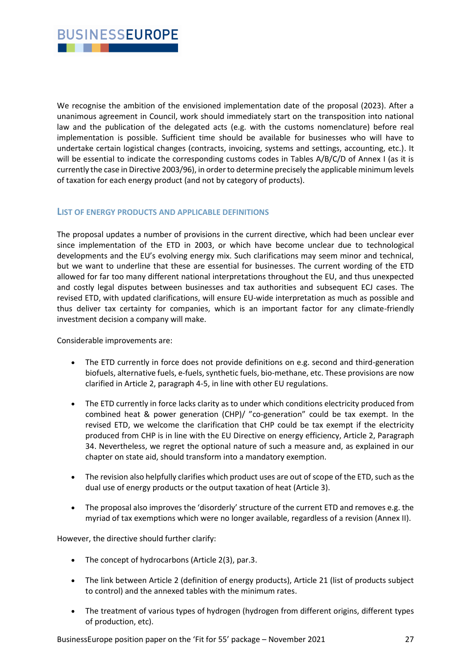

We recognise the ambition of the envisioned implementation date of the proposal (2023). After a unanimous agreement in Council, work should immediately start on the transposition into national law and the publication of the delegated acts (e.g. with the customs nomenclature) before real implementation is possible. Sufficient time should be available for businesses who will have to undertake certain logistical changes (contracts, invoicing, systems and settings, accounting, etc.). It will be essential to indicate the corresponding customs codes in Tables A/B/C/D of Annex I (as it is currently the case in Directive 2003/96), in order to determine precisely the applicable minimum levels of taxation for each energy product (and not by category of products).

#### **LIST OF ENERGY PRODUCTS AND APPLICABLE DEFINITIONS**

The proposal updates a number of provisions in the current directive, which had been unclear ever since implementation of the ETD in 2003, or which have become unclear due to technological developments and the EU's evolving energy mix. Such clarifications may seem minor and technical, but we want to underline that these are essential for businesses. The current wording of the ETD allowed for far too many different national interpretations throughout the EU, and thus unexpected and costly legal disputes between businesses and tax authorities and subsequent ECJ cases. The revised ETD, with updated clarifications, will ensure EU-wide interpretation as much as possible and thus deliver tax certainty for companies, which is an important factor for any climate-friendly investment decision a company will make.

Considerable improvements are:

- The ETD currently in force does not provide definitions on e.g. second and third-generation biofuels, alternative fuels, e-fuels, synthetic fuels, bio-methane, etc. These provisions are now clarified in Article 2, paragraph 4-5, in line with other EU regulations.
- The ETD currently in force lacks clarity as to under which conditions electricity produced from combined heat & power generation (CHP)/ "co-generation" could be tax exempt. In the revised ETD, we welcome the clarification that CHP could be tax exempt if the electricity produced from CHP is in line with the EU Directive on energy efficiency, Article 2, Paragraph 34. Nevertheless, we regret the optional nature of such a measure and, as explained in our chapter on state aid, should transform into a mandatory exemption.
- The revision also helpfully clarifies which product uses are out of scope of the ETD, such as the dual use of energy products or the output taxation of heat (Article 3).
- The proposal also improves the 'disorderly' structure of the current ETD and removes e.g. the myriad of tax exemptions which were no longer available, regardless of a revision (Annex II).

However, the directive should further clarify:

- The concept of hydrocarbons (Article 2(3), par.3.
- The link between Article 2 (definition of energy products), Article 21 (list of products subject to control) and the annexed tables with the minimum rates.
- The treatment of various types of hydrogen (hydrogen from different origins, different types of production, etc).

BusinessEurope position paper on the 'Fit for 55' package – November 2021 27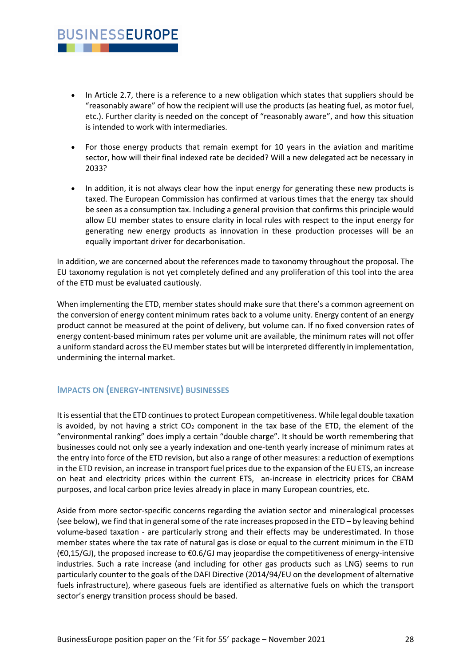## • In Article 2.7, there is a reference to a new obligation which states that suppliers should be "reasonably aware" of how the recipient will use the products (as heating fuel, as motor fuel, etc.). Further clarity is needed on the concept of "reasonably aware", and how this situation is intended to work with intermediaries.

- For those energy products that remain exempt for 10 years in the aviation and maritime sector, how will their final indexed rate be decided? Will a new delegated act be necessary in 2033?
- In addition, it is not always clear how the input energy for generating these new products is taxed. The European Commission has confirmed at various times that the energy tax should be seen as a consumption tax. Including a general provision that confirms this principle would allow EU member states to ensure clarity in local rules with respect to the input energy for generating new energy products as innovation in these production processes will be an equally important driver for decarbonisation.

In addition, we are concerned about the references made to taxonomy throughout the proposal. The EU taxonomy regulation is not yet completely defined and any proliferation of this tool into the area of the ETD must be evaluated cautiously.

When implementing the ETD, member states should make sure that there's a common agreement on the conversion of energy content minimum rates back to a volume unity. Energy content of an energy product cannot be measured at the point of delivery, but volume can. If no fixed conversion rates of energy content-based minimum rates per volume unit are available, the minimum rates will not offer a uniform standard across the EU member states but will be interpreted differently in implementation, undermining the internal market.

## **IMPACTS ON (ENERGY-INTENSIVE) BUSINESSES**

**BUSINESSEUROPE** 

. . .

It is essential that the ETD continues to protect European competitiveness. While legal double taxation is avoided, by not having a strict  $CO<sub>2</sub>$  component in the tax base of the ETD, the element of the "environmental ranking" does imply a certain "double charge". It should be worth remembering that businesses could not only see a yearly indexation and one-tenth yearly increase of minimum rates at the entry into force of the ETD revision, but also a range of other measures: a reduction of exemptions in the ETD revision, an increase in transport fuel prices due to the expansion of the EU ETS, an increase on heat and electricity prices within the current ETS, an-increase in electricity prices for CBAM purposes, and local carbon price levies already in place in many European countries, etc.

Aside from more sector-specific concerns regarding the aviation sector and mineralogical processes (see below), we find that in general some of the rate increases proposed in the ETD – by leaving behind volume-based taxation - are particularly strong and their effects may be underestimated. In those member states where the tax rate of natural gas is close or equal to the current minimum in the ETD (€0,15/GJ), the proposed increase to €0.6/GJ may jeopardise the competitiveness of energy-intensive industries. Such a rate increase (and including for other gas products such as LNG) seems to run particularly counter to the goals of the DAFI Directive (2014/94/EU on the development of alternative fuels infrastructure), where gaseous fuels are identified as alternative fuels on which the transport sector's energy transition process should be based.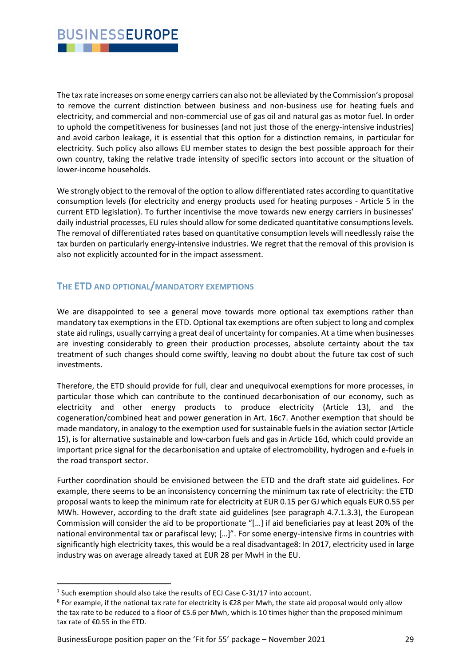The tax rate increases on some energy carriers can also not be alleviated by the Commission's proposal to remove the current distinction between business and non-business use for heating fuels and electricity, and commercial and non-commercial use of gas oil and natural gas as motor fuel. In order to uphold the competitiveness for businesses (and not just those of the energy-intensive industries) and avoid carbon leakage, it is essential that this option for a distinction remains, in particular for electricity. Such policy also allows EU member states to design the best possible approach for their own country, taking the relative trade intensity of specific sectors into account or the situation of lower-income households.

We strongly object to the removal of the option to allow differentiated rates according to quantitative consumption levels (for electricity and energy products used for heating purposes - Article 5 in the current ETD legislation). To further incentivise the move towards new energy carriers in businesses' daily industrial processes, EU rules should allow for some dedicated quantitative consumptions levels. The removal of differentiated rates based on quantitative consumption levels will needlessly raise the tax burden on particularly energy-intensive industries. We regret that the removal of this provision is also not explicitly accounted for in the impact assessment.

## **THE ETD AND OPTIONAL/MANDATORY EXEMPTIONS**

We are disappointed to see a general move towards more optional tax exemptions rather than mandatory tax exemptions in the ETD. Optional tax exemptions are often subject to long and complex state aid rulings, usually carrying a great deal of uncertainty for companies. At a time when businesses are investing considerably to green their production processes, absolute certainty about the tax treatment of such changes should come swiftly, leaving no doubt about the future tax cost of such investments.

Therefore, the ETD should provide for full, clear and unequivocal exemptions for more processes, in particular those which can contribute to the continued decarbonisation of our economy, such as electricity and other energy products to produce electricity (Article 13), and the cogeneration/combined heat and power generation in Art. 16c7. Another exemption that should be made mandatory, in analogy to the exemption used for sustainable fuels in the aviation sector (Article 15), is for alternative sustainable and low-carbon fuels and gas in Article 16d, which could provide an important price signal for the decarbonisation and uptake of electromobility, hydrogen and e-fuels in the road transport sector.

Further coordination should be envisioned between the ETD and the draft state aid guidelines. For example, there seems to be an inconsistency concerning the minimum tax rate of electricity: the ETD proposal wants to keep the minimum rate for electricity at EUR 0.15 per GJ which equals EUR 0.55 per MWh. However, according to the draft state aid guidelines (see paragraph 4.7.1.3.3), the European Commission will consider the aid to be proportionate "[…] if aid beneficiaries pay at least 20% of the national environmental tax or parafiscal levy; […]". For some energy-intensive firms in countries with significantly high electricity taxes, this would be a real disadvantage8: In 2017, electricity used in large industry was on average already taxed at EUR 28 per MwH in the EU.

 $7$  Such exemption should also take the results of ECJ Case C-31/17 into account.

<sup>&</sup>lt;sup>8</sup> For example, if the national tax rate for electricity is €28 per Mwh, the state aid proposal would only allow the tax rate to be reduced to a floor of €5.6 per Mwh, which is 10 times higher than the proposed minimum tax rate of €0.55 in the ETD.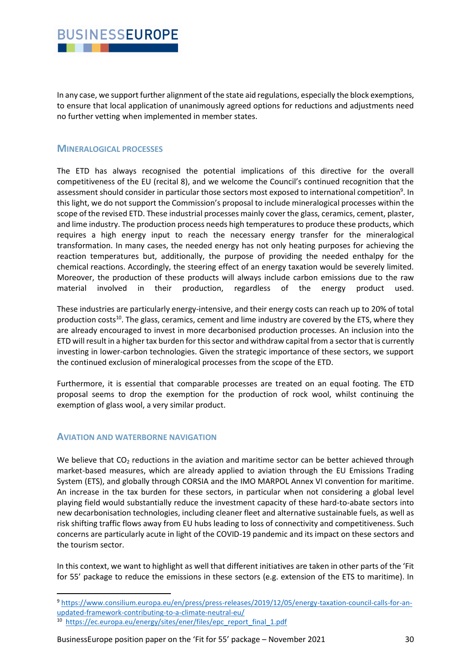## **BUSINESSEUROPE** . . .

In any case, we support further alignment of the state aid regulations, especially the block exemptions, to ensure that local application of unanimously agreed options for reductions and adjustments need no further vetting when implemented in member states.

## **MINERALOGICAL PROCESSES**

The ETD has always recognised the potential implications of this directive for the overall competitiveness of the EU (recital 8), and we welcome the Council's continued recognition that the assessment should consider in particular those sectors most exposed to international competition<sup>9</sup>. In this light, we do not support the Commission's proposal to include mineralogical processes within the scope of the revised ETD. These industrial processes mainly cover the glass, ceramics, cement, plaster, and lime industry. The production process needs high temperatures to produce these products, which requires a high energy input to reach the necessary energy transfer for the mineralogical transformation. In many cases, the needed energy has not only heating purposes for achieving the reaction temperatures but, additionally, the purpose of providing the needed enthalpy for the chemical reactions. Accordingly, the steering effect of an energy taxation would be severely limited. Moreover, the production of these products will always include carbon emissions due to the raw material involved in their production, regardless of the energy product used.

These industries are particularly energy-intensive, and their energy costs can reach up to 20% of total production costs<sup>10</sup>. The glass, ceramics, cement and lime industry are covered by the ETS, where they are already encouraged to invest in more decarbonised production processes. An inclusion into the ETD will result in a higher tax burden for this sector and withdraw capital from a sector that is currently investing in lower-carbon technologies. Given the strategic importance of these sectors, we support the continued exclusion of mineralogical processes from the scope of the ETD.

Furthermore, it is essential that comparable processes are treated on an equal footing. The ETD proposal seems to drop the exemption for the production of rock wool, whilst continuing the exemption of glass wool, a very similar product.

## **AVIATION AND WATERBORNE NAVIGATION**

We believe that CO<sub>2</sub> reductions in the aviation and maritime sector can be better achieved through market-based measures, which are already applied to aviation through the EU Emissions Trading System (ETS), and globally through CORSIA and the IMO MARPOL Annex VI convention for maritime. An increase in the tax burden for these sectors, in particular when not considering a global level playing field would substantially reduce the investment capacity of these hard-to-abate sectors into new decarbonisation technologies, including cleaner fleet and alternative sustainable fuels, as well as risk shifting traffic flows away from EU hubs leading to loss of connectivity and competitiveness. Such concerns are particularly acute in light of the COVID-19 pandemic and its impact on these sectors and the tourism sector.

In this context, we want to highlight as well that different initiatives are taken in other parts of the 'Fit for 55' package to reduce the emissions in these sectors (e.g. extension of the ETS to maritime). In

BusinessEurope position paper on the 'Fit for 55' package – November 2021 30

<sup>9</sup> [https://www.consilium.europa.eu/en/press/press-releases/2019/12/05/energy-taxation-council-calls-for-an](https://www.consilium.europa.eu/en/press/press-releases/2019/12/05/energy-taxation-council-calls-for-an-updated-framework-contributing-to-a-climate-neutral-eu/)[updated-framework-contributing-to-a-climate-neutral-eu/](https://www.consilium.europa.eu/en/press/press-releases/2019/12/05/energy-taxation-council-calls-for-an-updated-framework-contributing-to-a-climate-neutral-eu/)

<sup>&</sup>lt;sup>10</sup> [https://ec.europa.eu/energy/sites/ener/files/epc\\_report\\_final\\_1.pdf](https://ec.europa.eu/energy/sites/ener/files/epc_report_final_1.pdf)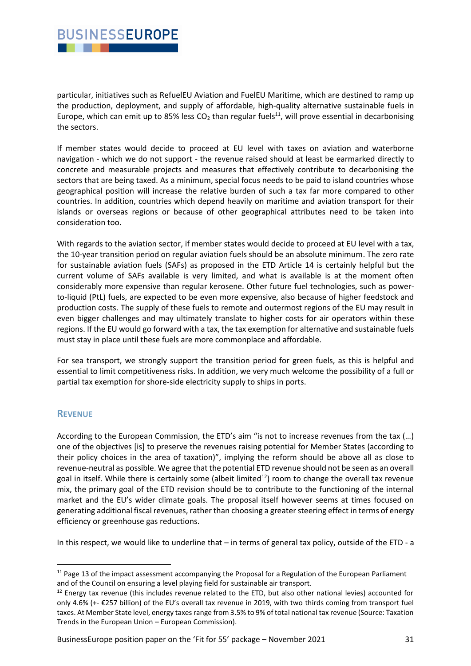## **BUSINESSEUROPE** . . .

particular, initiatives such as RefuelEU Aviation and FuelEU Maritime, which are destined to ramp up the production, deployment, and supply of affordable, high-quality alternative sustainable fuels in Europe, which can emit up to 85% less  $CO<sub>2</sub>$  than regular fuels<sup>11</sup>, will prove essential in decarbonising the sectors.

If member states would decide to proceed at EU level with taxes on aviation and waterborne navigation - which we do not support - the revenue raised should at least be earmarked directly to concrete and measurable projects and measures that effectively contribute to decarbonising the sectors that are being taxed. As a minimum, special focus needs to be paid to island countries whose geographical position will increase the relative burden of such a tax far more compared to other countries. In addition, countries which depend heavily on maritime and aviation transport for their islands or overseas regions or because of other geographical attributes need to be taken into consideration too.

With regards to the aviation sector, if member states would decide to proceed at EU level with a tax, the 10-year transition period on regular aviation fuels should be an absolute minimum. The zero rate for sustainable aviation fuels (SAFs) as proposed in the ETD Article 14 is certainly helpful but the current volume of SAFs available is very limited, and what is available is at the moment often considerably more expensive than regular kerosene. Other future fuel technologies, such as powerto-liquid (PtL) fuels, are expected to be even more expensive, also because of higher feedstock and production costs. The supply of these fuels to remote and outermost regions of the EU may result in even bigger challenges and may ultimately translate to higher costs for air operators within these regions. If the EU would go forward with a tax, the tax exemption for alternative and sustainable fuels must stay in place until these fuels are more commonplace and affordable.

For sea transport, we strongly support the transition period for green fuels, as this is helpful and essential to limit competitiveness risks. In addition, we very much welcome the possibility of a full or partial tax exemption for shore-side electricity supply to ships in ports.

## **REVENUE**

According to the European Commission, the ETD's aim "is not to increase revenues from the tax (…) one of the objectives [is] to preserve the revenues raising potential for Member States (according to their policy choices in the area of taxation)", implying the reform should be above all as close to revenue-neutral as possible. We agree that the potential ETD revenue should not be seen as an overall goal in itself. While there is certainly some (albeit limited<sup>12</sup>) room to change the overall tax revenue mix, the primary goal of the ETD revision should be to contribute to the functioning of the internal market and the EU's wider climate goals. The proposal itself however seems at times focused on generating additional fiscal revenues, rather than choosing a greater steering effect in terms of energy efficiency or greenhouse gas reductions.

In this respect, we would like to underline that – in terms of general tax policy, outside of the ETD - a

BusinessEurope position paper on the 'Fit for 55' package – November 2021 31

 $11$  Page 13 of the impact assessment accompanying the Proposal for a Regulation of the European Parliament and of the Council on ensuring a level playing field for sustainable air transport.

<sup>&</sup>lt;sup>12</sup> Energy tax revenue (this includes revenue related to the ETD, but also other national levies) accounted for only 4.6% (+- €257 billion) of the EU's overall tax revenue in 2019, with two thirds coming from transport fuel taxes. At Member State level, energy taxes range from 3.5% to 9% of total national tax revenue (Source: Taxation Trends in the European Union – European Commission).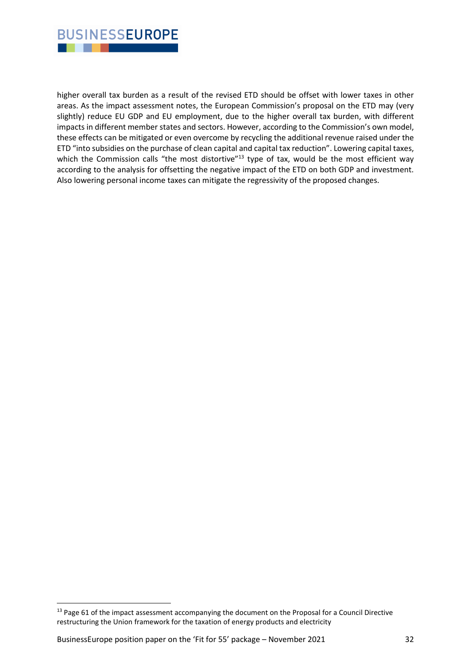

higher overall tax burden as a result of the revised ETD should be offset with lower taxes in other areas. As the impact assessment notes, the European Commission's proposal on the ETD may (very slightly) reduce EU GDP and EU employment, due to the higher overall tax burden, with different impacts in different member states and sectors. However, according to the Commission's own model, these effects can be mitigated or even overcome by recycling the additional revenue raised under the ETD "into subsidies on the purchase of clean capital and capital tax reduction". Lowering capital taxes, which the Commission calls "the most distortive"<sup>13</sup> type of tax, would be the most efficient way according to the analysis for offsetting the negative impact of the ETD on both GDP and investment. Also lowering personal income taxes can mitigate the regressivity of the proposed changes.

<sup>&</sup>lt;sup>13</sup> Page 61 of the impact assessment accompanying the document on the Proposal for a Council Directive restructuring the Union framework for the taxation of energy products and electricity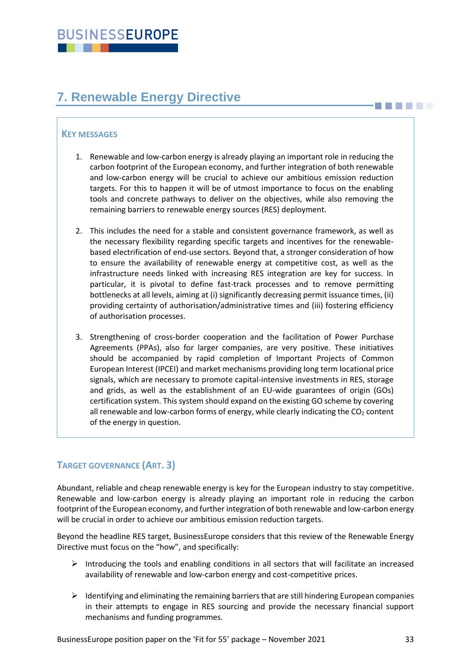# <span id="page-32-0"></span>**7. Renewable Energy Directive**

## **KEY MESSAGES**

- 1. Renewable and low-carbon energy is already playing an important role in reducing the carbon footprint of the European economy, and further integration of both renewable and low-carbon energy will be crucial to achieve our ambitious emission reduction targets. For this to happen it will be of utmost importance to focus on the enabling tools and concrete pathways to deliver on the objectives, while also removing the remaining barriers to renewable energy sources (RES) deployment.
- 2. This includes the need for a stable and consistent governance framework, as well as the necessary flexibility regarding specific targets and incentives for the renewablebased electrification of end-use sectors. Beyond that, a stronger consideration of how to ensure the availability of renewable energy at competitive cost, as well as the infrastructure needs linked with increasing RES integration are key for success. In particular, it is pivotal to define fast-track processes and to remove permitting bottlenecks at all levels, aiming at (i) significantly decreasing permit issuance times, (ii) providing certainty of authorisation/administrative times and (iii) fostering efficiency of authorisation processes.
- 3. Strengthening of cross-border cooperation and the facilitation of Power Purchase Agreements (PPAs), also for larger companies, are very positive. These initiatives should be accompanied by rapid completion of Important Projects of Common European Interest (IPCEI) and market mechanisms providing long term locational price signals, which are necessary to promote capital-intensive investments in RES, storage and grids, as well as the establishment of an EU-wide guarantees of origin (GOs) certification system. This system should expand on the existing GO scheme by covering all renewable and low-carbon forms of energy, while clearly indicating the  $CO<sub>2</sub>$  content of the energy in question.

## **TARGET GOVERNANCE (ART. 3)**

Abundant, reliable and cheap renewable energy is key for the European industry to stay competitive. Renewable and low-carbon energy is already playing an important role in reducing the carbon footprint of the European economy, and further integration of both renewable and low-carbon energy will be crucial in order to achieve our ambitious emission reduction targets.

Beyond the headline RES target, BusinessEurope considers that this review of the Renewable Energy Directive must focus on the "how", and specifically:

- $\triangleright$  Introducing the tools and enabling conditions in all sectors that will facilitate an increased availability of renewable and low-carbon energy and cost-competitive prices.
- $\triangleright$  Identifying and eliminating the remaining barriers that are still hindering European companies in their attempts to engage in RES sourcing and provide the necessary financial support mechanisms and funding programmes.

**THE LET**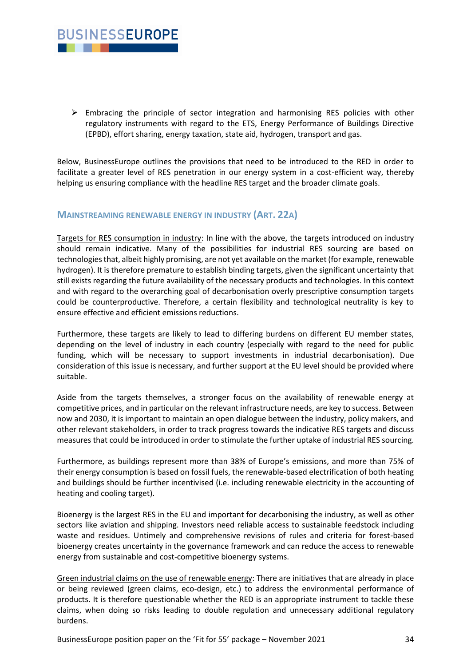

 $\triangleright$  Embracing the principle of sector integration and harmonising RES policies with other regulatory instruments with regard to the ETS, Energy Performance of Buildings Directive (EPBD), effort sharing, energy taxation, state aid, hydrogen, transport and gas.

Below, BusinessEurope outlines the provisions that need to be introduced to the RED in order to facilitate a greater level of RES penetration in our energy system in a cost-efficient way, thereby helping us ensuring compliance with the headline RES target and the broader climate goals.

## **MAINSTREAMING RENEWABLE ENERGY IN INDUSTRY (ART. 22A)**

Targets for RES consumption in industry: In line with the above, the targets introduced on industry should remain indicative. Many of the possibilities for industrial RES sourcing are based on technologies that, albeit highly promising, are not yet available on the market (for example, renewable hydrogen). It is therefore premature to establish binding targets, given the significant uncertainty that still exists regarding the future availability of the necessary products and technologies. In this context and with regard to the overarching goal of decarbonisation overly prescriptive consumption targets could be counterproductive. Therefore, a certain flexibility and technological neutrality is key to ensure effective and efficient emissions reductions.

Furthermore, these targets are likely to lead to differing burdens on different EU member states, depending on the level of industry in each country (especially with regard to the need for public funding, which will be necessary to support investments in industrial decarbonisation). Due consideration of this issue is necessary, and further support at the EU level should be provided where suitable.

Aside from the targets themselves, a stronger focus on the availability of renewable energy at competitive prices, and in particular on the relevant infrastructure needs, are key to success. Between now and 2030, it is important to maintain an open dialogue between the industry, policy makers, and other relevant stakeholders, in order to track progress towards the indicative RES targets and discuss measures that could be introduced in order to stimulate the further uptake of industrial RES sourcing.

Furthermore, as buildings represent more than 38% of Europe's emissions, and more than 75% of their energy consumption is based on fossil fuels, the renewable-based electrification of both heating and buildings should be further incentivised (i.e. including renewable electricity in the accounting of heating and cooling target).

Bioenergy is the largest RES in the EU and important for decarbonising the industry, as well as other sectors like aviation and shipping. Investors need reliable access to sustainable feedstock including waste and residues. Untimely and comprehensive revisions of rules and criteria for forest-based bioenergy creates uncertainty in the governance framework and can reduce the access to renewable energy from sustainable and cost-competitive bioenergy systems.

Green industrial claims on the use of renewable energy: There are initiatives that are already in place or being reviewed (green claims, eco-design, etc.) to address the environmental performance of products. It is therefore questionable whether the RED is an appropriate instrument to tackle these claims, when doing so risks leading to double regulation and unnecessary additional regulatory burdens.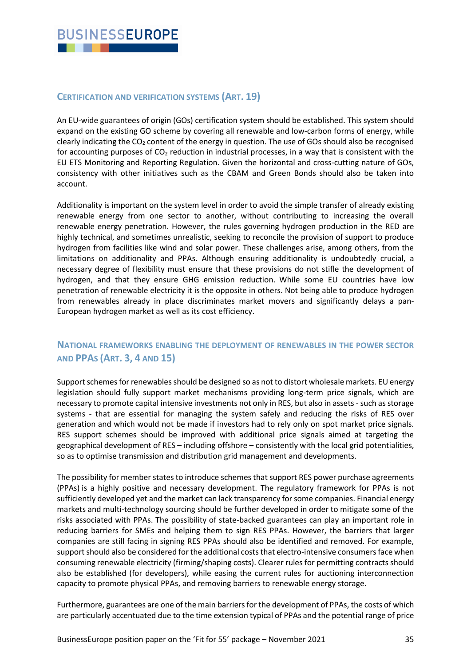## **CERTIFICATION AND VERIFICATION SYSTEMS (ART. 19)**

An EU-wide guarantees of origin (GOs) certification system should be established. This system should expand on the existing GO scheme by covering all renewable and low-carbon forms of energy, while clearly indicating the  $CO<sub>2</sub>$  content of the energy in question. The use of GOs should also be recognised for accounting purposes of  $CO<sub>2</sub>$  reduction in industrial processes, in a way that is consistent with the EU ETS Monitoring and Reporting Regulation. Given the horizontal and cross-cutting nature of GOs, consistency with other initiatives such as the CBAM and Green Bonds should also be taken into account.

Additionality is important on the system level in order to avoid the simple transfer of already existing renewable energy from one sector to another, without contributing to increasing the overall renewable energy penetration. However, the rules governing hydrogen production in the RED are highly technical, and sometimes unrealistic, seeking to reconcile the provision of support to produce hydrogen from facilities like wind and solar power. These challenges arise, among others, from the limitations on additionality and PPAs. Although ensuring additionality is undoubtedly crucial, a necessary degree of flexibility must ensure that these provisions do not stifle the development of hydrogen, and that they ensure GHG emission reduction. While some EU countries have low penetration of renewable electricity it is the opposite in others. Not being able to produce hydrogen from renewables already in place discriminates market movers and significantly delays a pan-European hydrogen market as well as its cost efficiency.

## **NATIONAL FRAMEWORKS ENABLING THE DEPLOYMENT OF RENEWABLES IN THE POWER SECTOR AND PPAS (ART. 3, 4 AND 15)**

Support schemes for renewables should be designed so as not to distort wholesale markets. EU energy legislation should fully support market mechanisms providing long-term price signals, which are necessary to promote capital intensive investments not only in RES, but also in assets -such as storage systems - that are essential for managing the system safely and reducing the risks of RES over generation and which would not be made if investors had to rely only on spot market price signals. RES support schemes should be improved with additional price signals aimed at targeting the geographical development of RES – including offshore – consistently with the local grid potentialities, so as to optimise transmission and distribution grid management and developments.

The possibility for member states to introduce schemes that support RES power purchase agreements (PPAs) is a highly positive and necessary development. The regulatory framework for PPAs is not sufficiently developed yet and the market can lack transparency for some companies. Financial energy markets and multi-technology sourcing should be further developed in order to mitigate some of the risks associated with PPAs. The possibility of state-backed guarantees can play an important role in reducing barriers for SMEs and helping them to sign RES PPAs. However, the barriers that larger companies are still facing in signing RES PPAs should also be identified and removed. For example, support should also be considered for the additional costs that electro-intensive consumers face when consuming renewable electricity (firming/shaping costs). Clearer rules for permitting contracts should also be established (for developers), while easing the current rules for auctioning interconnection capacity to promote physical PPAs, and removing barriers to renewable energy storage.

Furthermore, guarantees are one of the main barriers for the development of PPAs, the costs of which are particularly accentuated due to the time extension typical of PPAs and the potential range of price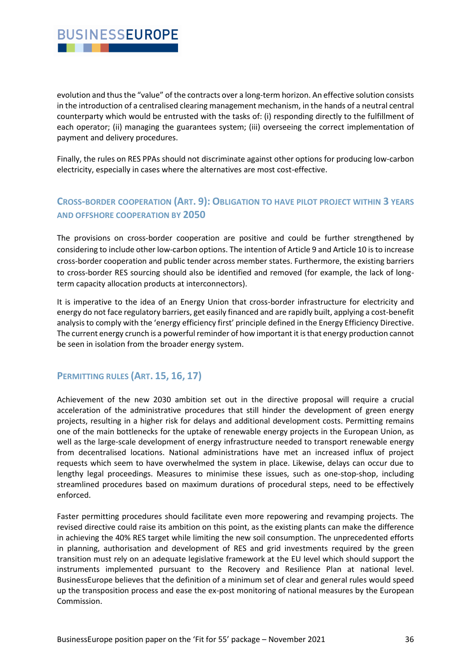## **BUSINESSEUROPE** . . .

evolution and thus the "value" of the contracts over a long-term horizon. An effective solution consists in the introduction of a centralised clearing management mechanism, in the hands of a neutral central counterparty which would be entrusted with the tasks of: (i) responding directly to the fulfillment of each operator; (ii) managing the guarantees system; (iii) overseeing the correct implementation of payment and delivery procedures.

Finally, the rules on RES PPAs should not discriminate against other options for producing low-carbon electricity, especially in cases where the alternatives are most cost-effective.

## **CROSS-BORDER COOPERATION (ART. 9): OBLIGATION TO HAVE PILOT PROJECT WITHIN 3 YEARS AND OFFSHORE COOPERATION BY 2050**

The provisions on cross-border cooperation are positive and could be further strengthened by considering to include other low-carbon options. The intention of Article 9 and Article 10 is to increase cross-border cooperation and public tender across member states. Furthermore, the existing barriers to cross-border RES sourcing should also be identified and removed (for example, the lack of longterm capacity allocation products at interconnectors).

It is imperative to the idea of an Energy Union that cross-border infrastructure for electricity and energy do not face regulatory barriers, get easily financed and are rapidly built, applying a cost-benefit analysis to comply with the 'energy efficiency first' principle defined in the Energy Efficiency Directive. The current energy crunch is a powerful reminder of how important it is that energy production cannot be seen in isolation from the broader energy system.

## **PERMITTING RULES (ART. 15, 16, 17)**

Achievement of the new 2030 ambition set out in the directive proposal will require a crucial acceleration of the administrative procedures that still hinder the development of green energy projects, resulting in a higher risk for delays and additional development costs. Permitting remains one of the main bottlenecks for the uptake of renewable energy projects in the European Union, as well as the large-scale development of energy infrastructure needed to transport renewable energy from decentralised locations. National administrations have met an increased influx of project requests which seem to have overwhelmed the system in place. Likewise, delays can occur due to lengthy legal proceedings. Measures to minimise these issues, such as one-stop-shop, including streamlined procedures based on maximum durations of procedural steps, need to be effectively enforced.

Faster permitting procedures should facilitate even more repowering and revamping projects. The revised directive could raise its ambition on this point, as the existing plants can make the difference in achieving the 40% RES target while limiting the new soil consumption. The unprecedented efforts in planning, authorisation and development of RES and grid investments required by the green transition must rely on an adequate legislative framework at the EU level which should support the instruments implemented pursuant to the Recovery and Resilience Plan at national level. BusinessEurope believes that the definition of a minimum set of clear and general rules would speed up the transposition process and ease the ex-post monitoring of national measures by the European Commission.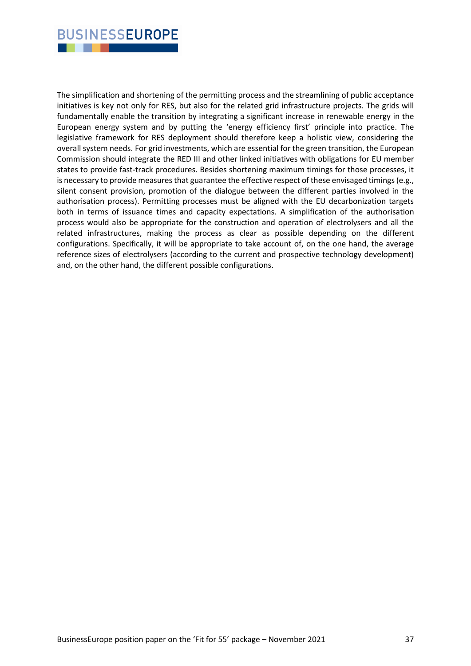## **BUSINESSEUROPE** . . .

The simplification and shortening of the permitting process and the streamlining of public acceptance initiatives is key not only for RES, but also for the related grid infrastructure projects. The grids will fundamentally enable the transition by integrating a significant increase in renewable energy in the European energy system and by putting the 'energy efficiency first' principle into practice. The legislative framework for RES deployment should therefore keep a holistic view, considering the overall system needs. For grid investments, which are essential for the green transition, the European Commission should integrate the RED III and other linked initiatives with obligations for EU member states to provide fast-track procedures. Besides shortening maximum timings for those processes, it is necessary to provide measures that guarantee the effective respect of these envisaged timings (e.g., silent consent provision, promotion of the dialogue between the different parties involved in the authorisation process). Permitting processes must be aligned with the EU decarbonization targets both in terms of issuance times and capacity expectations. A simplification of the authorisation process would also be appropriate for the construction and operation of electrolysers and all the related infrastructures, making the process as clear as possible depending on the different configurations. Specifically, it will be appropriate to take account of, on the one hand, the average reference sizes of electrolysers (according to the current and prospective technology development) and, on the other hand, the different possible configurations.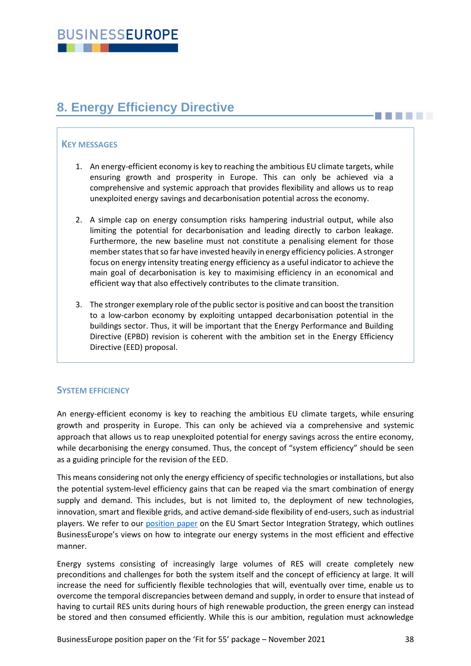# <span id="page-37-0"></span>**8. Energy Efficiency Directive**

## **KEY MESSAGES**

- 1. An energy-efficient economy is key to reaching the ambitious EU climate targets, while ensuring growth and prosperity in Europe. This can only be achieved via a comprehensive and systemic approach that provides flexibility and allows us to reap unexploited energy savings and decarbonisation potential across the economy.
- 2. A simple cap on energy consumption risks hampering industrial output, while also limiting the potential for decarbonisation and leading directly to carbon leakage. Furthermore, the new baseline must not constitute a penalising element for those member states that so far have invested heavily in energy efficiency policies. A stronger focus on energy intensity treating energy efficiency as a useful indicator to achieve the main goal of decarbonisation is key to maximising efficiency in an economical and efficient way that also effectively contributes to the climate transition.
- 3. The stronger exemplary role of the public sector is positive and can boost the transition to a low-carbon economy by exploiting untapped decarbonisation potential in the buildings sector. Thus, it will be important that the Energy Performance and Building Directive (EPBD) revision is coherent with the ambition set in the Energy Efficiency Directive (EED) proposal.

## **SYSTEM EFFICIENCY**

An energy-efficient economy is key to reaching the ambitious EU climate targets, while ensuring growth and prosperity in Europe. This can only be achieved via a comprehensive and systemic approach that allows us to reap unexploited potential for energy savings across the entire economy, while decarbonising the energy consumed. Thus, the concept of "system efficiency" should be seen as a guiding principle for the revision of the EED.

This means considering not only the energy efficiency of specific technologies or installations, but also the potential system-level efficiency gains that can be reaped via the smart combination of energy supply and demand. This includes, but is not limited to, the deployment of new technologies, innovation, smart and flexible grids, and active demand-side flexibility of end-users, such as industrial players. We refer to our [position paper](https://www.businesseurope.eu/publications/roadmap-eu-smart-sector-integration-strategy-businesseuropes-response) on the EU Smart Sector Integration Strategy, which outlines BusinessEurope's views on how to integrate our energy systems in the most efficient and effective manner.

Energy systems consisting of increasingly large volumes of RES will create completely new preconditions and challenges for both the system itself and the concept of efficiency at large. It will increase the need for sufficiently flexible technologies that will, eventually over time, enable us to overcome the temporal discrepancies between demand and supply, in order to ensure that instead of having to curtail RES units during hours of high renewable production, the green energy can instead be stored and then consumed efficiently. While this is our ambition, regulation must acknowledge

**BELLET**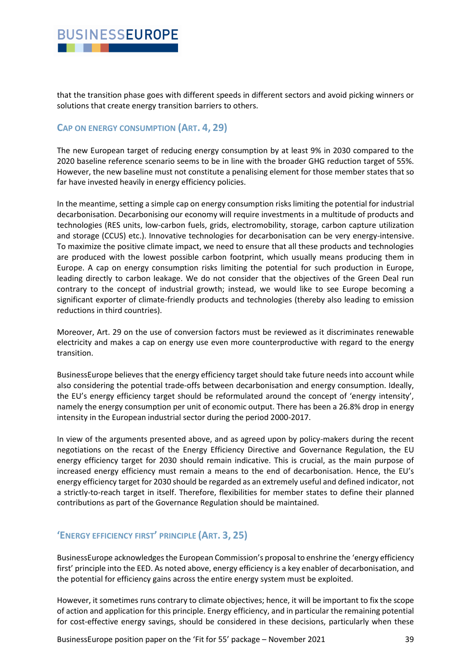## **BUSINESSEUROPE** . . .

that the transition phase goes with different speeds in different sectors and avoid picking winners or solutions that create energy transition barriers to others.

## **CAP ON ENERGY CONSUMPTION (ART. 4, 29)**

The new European target of reducing energy consumption by at least 9% in 2030 compared to the 2020 baseline reference scenario seems to be in line with the broader GHG reduction target of 55%. However, the new baseline must not constitute a penalising element for those member states that so far have invested heavily in energy efficiency policies.

In the meantime, setting a simple cap on energy consumption risks limiting the potential for industrial decarbonisation. Decarbonising our economy will require investments in a multitude of products and technologies (RES units, low-carbon fuels, grids, electromobility, storage, carbon capture utilization and storage (CCUS) etc.). Innovative technologies for decarbonisation can be very energy-intensive. To maximize the positive climate impact, we need to ensure that all these products and technologies are produced with the lowest possible carbon footprint, which usually means producing them in Europe. A cap on energy consumption risks limiting the potential for such production in Europe, leading directly to carbon leakage. We do not consider that the objectives of the Green Deal run contrary to the concept of industrial growth; instead, we would like to see Europe becoming a significant exporter of climate-friendly products and technologies (thereby also leading to emission reductions in third countries).

Moreover, Art. 29 on the use of conversion factors must be reviewed as it discriminates renewable electricity and makes a cap on energy use even more counterproductive with regard to the energy transition.

BusinessEurope believes that the energy efficiency target should take future needs into account while also considering the potential trade-offs between decarbonisation and energy consumption. Ideally, the EU's energy efficiency target should be reformulated around the concept of 'energy intensity', namely the energy consumption per unit of economic output. There has been a 26.8% drop in energy intensity in the European industrial sector during the period 2000-2017.

In view of the arguments presented above, and as agreed upon by policy-makers during the recent negotiations on the recast of the Energy Efficiency Directive and Governance Regulation, the EU energy efficiency target for 2030 should remain indicative. This is crucial, as the main purpose of increased energy efficiency must remain a means to the end of decarbonisation. Hence, the EU's energy efficiency target for 2030 should be regarded as an extremely useful and defined indicator, not a strictly-to-reach target in itself. Therefore, flexibilities for member states to define their planned contributions as part of the Governance Regulation should be maintained.

## **'ENERGY EFFICIENCY FIRST' PRINCIPLE (ART. 3, 25)**

BusinessEurope acknowledges the European Commission's proposal to enshrine the 'energy efficiency first' principle into the EED. As noted above, energy efficiency is a key enabler of decarbonisation, and the potential for efficiency gains across the entire energy system must be exploited.

However, it sometimes runs contrary to climate objectives; hence, it will be important to fix the scope of action and application for this principle. Energy efficiency, and in particular the remaining potential for cost-effective energy savings, should be considered in these decisions, particularly when these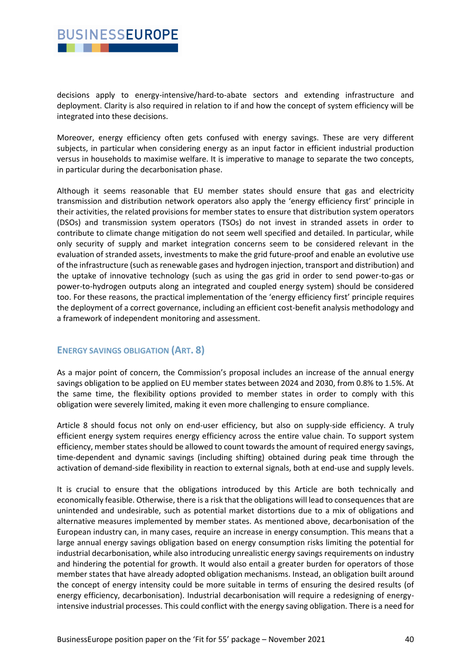## **BUSINESSEUROPE** . . .

decisions apply to energy-intensive/hard-to-abate sectors and extending infrastructure and deployment. Clarity is also required in relation to if and how the concept of system efficiency will be integrated into these decisions.

Moreover, energy efficiency often gets confused with energy savings. These are very different subjects, in particular when considering energy as an input factor in efficient industrial production versus in households to maximise welfare. It is imperative to manage to separate the two concepts, in particular during the decarbonisation phase.

Although it seems reasonable that EU member states should ensure that gas and electricity transmission and distribution network operators also apply the 'energy efficiency first' principle in their activities, the related provisions for member states to ensure that distribution system operators (DSOs) and transmission system operators (TSOs) do not invest in stranded assets in order to contribute to climate change mitigation do not seem well specified and detailed. In particular, while only security of supply and market integration concerns seem to be considered relevant in the evaluation of stranded assets, investments to make the grid future-proof and enable an evolutive use of the infrastructure (such as renewable gases and hydrogen injection, transport and distribution) and the uptake of innovative technology (such as using the gas grid in order to send power-to-gas or power-to-hydrogen outputs along an integrated and coupled energy system) should be considered too. For these reasons, the practical implementation of the 'energy efficiency first' principle requires the deployment of a correct governance, including an efficient cost-benefit analysis methodology and a framework of independent monitoring and assessment.

## **ENERGY SAVINGS OBLIGATION (ART. 8)**

As a major point of concern, the Commission's proposal includes an increase of the annual energy savings obligation to be applied on EU member states between 2024 and 2030, from 0.8% to 1.5%. At the same time, the flexibility options provided to member states in order to comply with this obligation were severely limited, making it even more challenging to ensure compliance.

Article 8 should focus not only on end-user efficiency, but also on supply-side efficiency. A truly efficient energy system requires energy efficiency across the entire value chain. To support system efficiency, member states should be allowed to count towards the amount of required energy savings, time-dependent and dynamic savings (including shifting) obtained during peak time through the activation of demand-side flexibility in reaction to external signals, both at end-use and supply levels.

It is crucial to ensure that the obligations introduced by this Article are both technically and economically feasible. Otherwise, there is a risk that the obligations will lead to consequences that are unintended and undesirable, such as potential market distortions due to a mix of obligations and alternative measures implemented by member states. As mentioned above, decarbonisation of the European industry can, in many cases, require an increase in energy consumption. This means that a large annual energy savings obligation based on energy consumption risks limiting the potential for industrial decarbonisation, while also introducing unrealistic energy savings requirements on industry and hindering the potential for growth. It would also entail a greater burden for operators of those member states that have already adopted obligation mechanisms. Instead, an obligation built around the concept of energy intensity could be more suitable in terms of ensuring the desired results (of energy efficiency, decarbonisation). Industrial decarbonisation will require a redesigning of energyintensive industrial processes. This could conflict with the energy saving obligation. There is a need for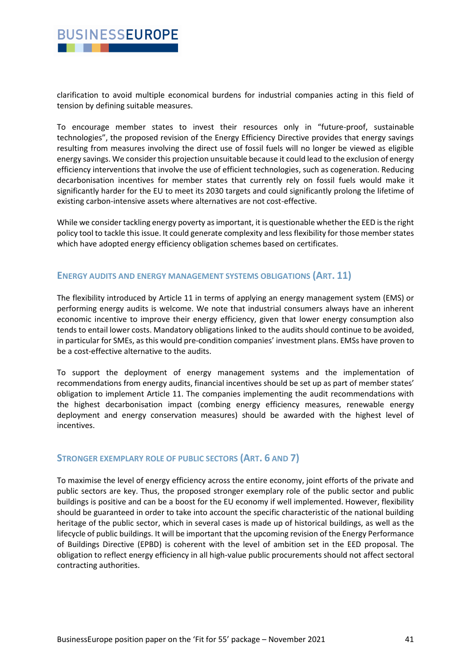

clarification to avoid multiple economical burdens for industrial companies acting in this field of tension by defining suitable measures.

To encourage member states to invest their resources only in "future-proof, sustainable technologies", the proposed revision of the Energy Efficiency Directive provides that energy savings resulting from measures involving the direct use of fossil fuels will no longer be viewed as eligible energy savings. We consider this projection unsuitable because it could lead to the exclusion of energy efficiency interventions that involve the use of efficient technologies, such as cogeneration. Reducing decarbonisation incentives for member states that currently rely on fossil fuels would make it significantly harder for the EU to meet its 2030 targets and could significantly prolong the lifetime of existing carbon-intensive assets where alternatives are not cost-effective.

While we consider tackling energy poverty as important, it is questionable whether the EED is the right policy tool to tackle this issue. It could generate complexity and less flexibility for those member states which have adopted energy efficiency obligation schemes based on certificates.

#### **ENERGY AUDITS AND ENERGY MANAGEMENT SYSTEMS OBLIGATIONS (ART. 11)**

The flexibility introduced by Article 11 in terms of applying an energy management system (EMS) or performing energy audits is welcome. We note that industrial consumers always have an inherent economic incentive to improve their energy efficiency, given that lower energy consumption also tends to entail lower costs. Mandatory obligations linked to the audits should continue to be avoided, in particular for SMEs, as this would pre-condition companies' investment plans. EMSs have proven to be a cost-effective alternative to the audits.

To support the deployment of energy management systems and the implementation of recommendations from energy audits, financial incentives should be set up as part of member states' obligation to implement Article 11. The companies implementing the audit recommendations with the highest decarbonisation impact (combing energy efficiency measures, renewable energy deployment and energy conservation measures) should be awarded with the highest level of incentives.

### **STRONGER EXEMPLARY ROLE OF PUBLIC SECTORS (ART. 6 AND 7)**

To maximise the level of energy efficiency across the entire economy, joint efforts of the private and public sectors are key. Thus, the proposed stronger exemplary role of the public sector and public buildings is positive and can be a boost for the EU economy if well implemented. However, flexibility should be guaranteed in order to take into account the specific characteristic of the national building heritage of the public sector, which in several cases is made up of historical buildings, as well as the lifecycle of public buildings. It will be important that the upcoming revision of the Energy Performance of Buildings Directive (EPBD) is coherent with the level of ambition set in the EED proposal. The obligation to reflect energy efficiency in all high-value public procurements should not affect sectoral contracting authorities.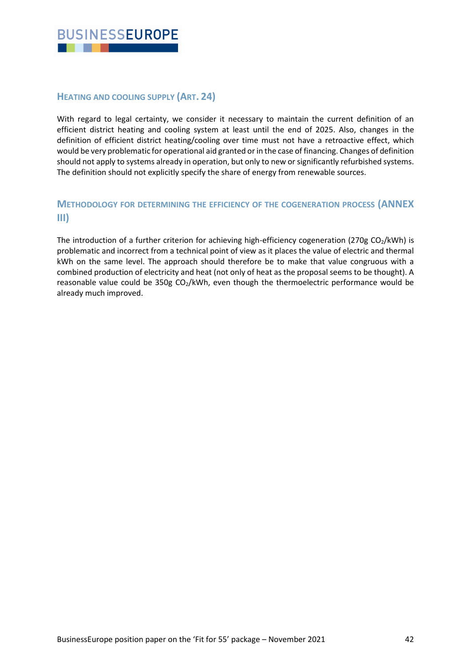

## **HEATING AND COOLING SUPPLY (ART. 24)**

With regard to legal certainty, we consider it necessary to maintain the current definition of an efficient district heating and cooling system at least until the end of 2025. Also, changes in the definition of efficient district heating/cooling over time must not have a retroactive effect, which would be very problematic for operational aid granted or in the case of financing. Changes of definition should not apply to systems already in operation, but only to new or significantly refurbished systems. The definition should not explicitly specify the share of energy from renewable sources.

## **METHODOLOGY FOR DETERMINING THE EFFICIENCY OF THE COGENERATION PROCESS (ANNEX III)**

The introduction of a further criterion for achieving high-efficiency cogeneration (270g  $CO<sub>2</sub>/kWh$ ) is problematic and incorrect from a technical point of view as it places the value of electric and thermal kWh on the same level. The approach should therefore be to make that value congruous with a combined production of electricity and heat (not only of heat as the proposal seems to be thought). A reasonable value could be 350g CO<sub>2</sub>/kWh, even though the thermoelectric performance would be already much improved.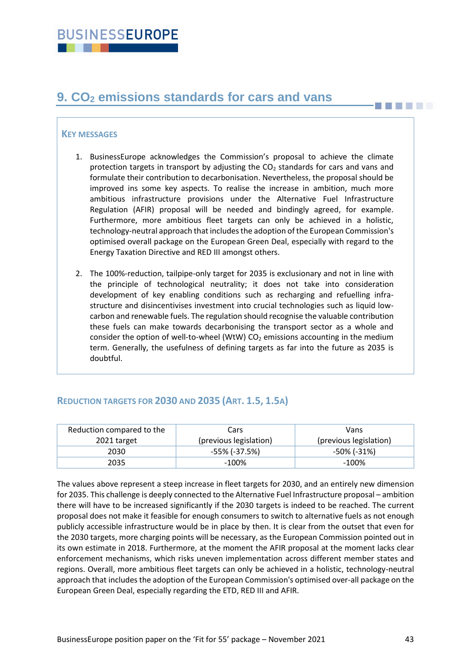# <span id="page-42-0"></span>**9. CO<sup>2</sup> emissions standards for cars and vans**

### **KEY MESSAGES**

- 1. BusinessEurope acknowledges the Commission's proposal to achieve the climate protection targets in transport by adjusting the  $CO<sub>2</sub>$  standards for cars and vans and formulate their contribution to decarbonisation. Nevertheless, the proposal should be improved ins some key aspects. To realise the increase in ambition, much more ambitious infrastructure provisions under the Alternative Fuel Infrastructure Regulation (AFIR) proposal will be needed and bindingly agreed, for example. Furthermore, more ambitious fleet targets can only be achieved in a holistic, technology-neutral approach that includes the adoption of the European Commission's optimised overall package on the European Green Deal, especially with regard to the Energy Taxation Directive and RED III amongst others.
- 2. The 100%-reduction, tailpipe-only target for 2035 is exclusionary and not in line with the principle of technological neutrality; it does not take into consideration development of key enabling conditions such as recharging and refuelling infrastructure and disincentivises investment into crucial technologies such as liquid lowcarbon and renewable fuels. The regulation should recognise the valuable contribution these fuels can make towards decarbonising the transport sector as a whole and consider the option of well-to-wheel (WtW)  $CO<sub>2</sub>$  emissions accounting in the medium term. Generally, the usefulness of defining targets as far into the future as 2035 is doubtful.

## **REDUCTION TARGETS FOR 2030 AND 2035 (ART. 1.5, 1.5A)**

| Reduction compared to the | Cars                   | Vans                   |
|---------------------------|------------------------|------------------------|
| 2021 target               | (previous legislation) | (previous legislation) |
| 2030                      | -55% (-37.5%)          | -50% (-31%)            |
| 2035                      | $-100\%$               | $-100\%$               |

The values above represent a steep increase in fleet targets for 2030, and an entirely new dimension for 2035. This challenge is deeply connected to the Alternative Fuel Infrastructure proposal – ambition there will have to be increased significantly if the 2030 targets is indeed to be reached. The current proposal does not make it feasible for enough consumers to switch to alternative fuels as not enough publicly accessible infrastructure would be in place by then. It is clear from the outset that even for the 2030 targets, more charging points will be necessary, as the European Commission pointed out in its own estimate in 2018. Furthermore, at the moment the AFIR proposal at the moment lacks clear enforcement mechanisms, which risks uneven implementation across different member states and regions. Overall, more ambitious fleet targets can only be achieved in a holistic, technology-neutral approach that includes the adoption of the European Commission's optimised over-all package on the European Green Deal, especially regarding the ETD, RED III and AFIR.

**THEFT**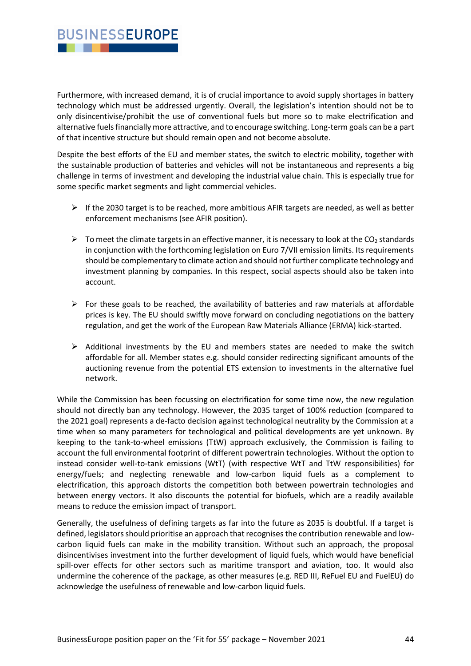## **BUSINESSEUROPE** . . .

Furthermore, with increased demand, it is of crucial importance to avoid supply shortages in battery technology which must be addressed urgently. Overall, the legislation's intention should not be to only disincentivise/prohibit the use of conventional fuels but more so to make electrification and alternative fuels financially more attractive, and to encourage switching. Long-term goals can be a part of that incentive structure but should remain open and not become absolute.

Despite the best efforts of the EU and member states, the switch to electric mobility, together with the sustainable production of batteries and vehicles will not be instantaneous and represents a big challenge in terms of investment and developing the industrial value chain. This is especially true for some specific market segments and light commercial vehicles.

- $\triangleright$  If the 2030 target is to be reached, more ambitious AFIR targets are needed, as well as better enforcement mechanisms (see AFIR position).
- $\triangleright$  To meet the climate targets in an effective manner, it is necessary to look at the CO<sub>2</sub> standards in conjunction with the forthcoming legislation on Euro 7/VII emission limits. Its requirements should be complementary to climate action and should not further complicate technology and investment planning by companies. In this respect, social aspects should also be taken into account.
- $\triangleright$  For these goals to be reached, the availability of batteries and raw materials at affordable prices is key. The EU should swiftly move forward on concluding negotiations on the battery regulation, and get the work of the European Raw Materials Alliance (ERMA) kick-started.
- $\triangleright$  Additional investments by the EU and members states are needed to make the switch affordable for all. Member states e.g. should consider redirecting significant amounts of the auctioning revenue from the potential ETS extension to investments in the alternative fuel network.

While the Commission has been focussing on electrification for some time now, the new regulation should not directly ban any technology. However, the 2035 target of 100% reduction (compared to the 2021 goal) represents a de-facto decision against technological neutrality by the Commission at a time when so many parameters for technological and political developments are yet unknown. By keeping to the tank-to-wheel emissions (TtW) approach exclusively, the Commission is failing to account the full environmental footprint of different powertrain technologies. Without the option to instead consider well-to-tank emissions (WtT) (with respective WtT and TtW responsibilities) for energy/fuels; and neglecting renewable and low-carbon liquid fuels as a complement to electrification, this approach distorts the competition both between powertrain technologies and between energy vectors. It also discounts the potential for biofuels, which are a readily available means to reduce the emission impact of transport.

Generally, the usefulness of defining targets as far into the future as 2035 is doubtful. If a target is defined, legislators should prioritise an approach that recognises the contribution renewable and lowcarbon liquid fuels can make in the mobility transition. Without such an approach, the proposal disincentivises investment into the further development of liquid fuels, which would have beneficial spill-over effects for other sectors such as maritime transport and aviation, too. It would also undermine the coherence of the package, as other measures (e.g. RED III, ReFuel EU and FuelEU) do acknowledge the usefulness of renewable and low-carbon liquid fuels.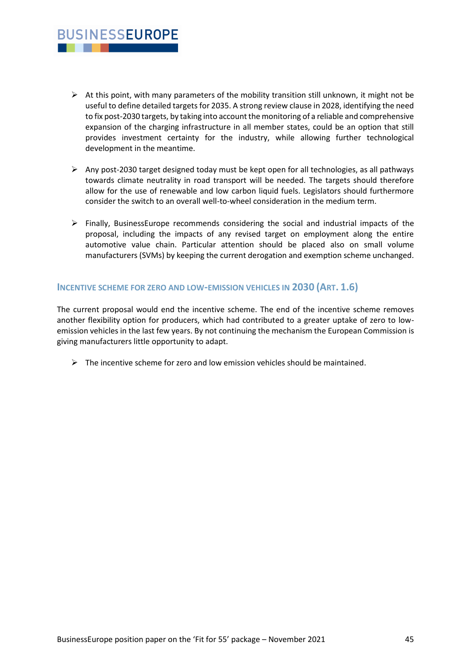- $\triangleright$  At this point, with many parameters of the mobility transition still unknown, it might not be useful to define detailed targets for 2035. A strong review clause in 2028, identifying the need to fix post-2030 targets, by taking into account the monitoring of a reliable and comprehensive expansion of the charging infrastructure in all member states, could be an option that still provides investment certainty for the industry, while allowing further technological development in the meantime.
- $\triangleright$  Any post-2030 target designed today must be kept open for all technologies, as all pathways towards climate neutrality in road transport will be needed. The targets should therefore allow for the use of renewable and low carbon liquid fuels. Legislators should furthermore consider the switch to an overall well-to-wheel consideration in the medium term.
- $\triangleright$  Finally, BusinessEurope recommends considering the social and industrial impacts of the proposal, including the impacts of any revised target on employment along the entire automotive value chain. Particular attention should be placed also on small volume manufacturers (SVMs) by keeping the current derogation and exemption scheme unchanged.

### **INCENTIVE SCHEME FOR ZERO AND LOW-EMISSION VEHICLES IN 2030 (ART. 1.6)**

**BUSINESSEUROPE** . . .

The current proposal would end the incentive scheme. The end of the incentive scheme removes another flexibility option for producers, which had contributed to a greater uptake of zero to lowemission vehicles in the last few years. By not continuing the mechanism the European Commission is giving manufacturers little opportunity to adapt.

 $\triangleright$  The incentive scheme for zero and low emission vehicles should be maintained.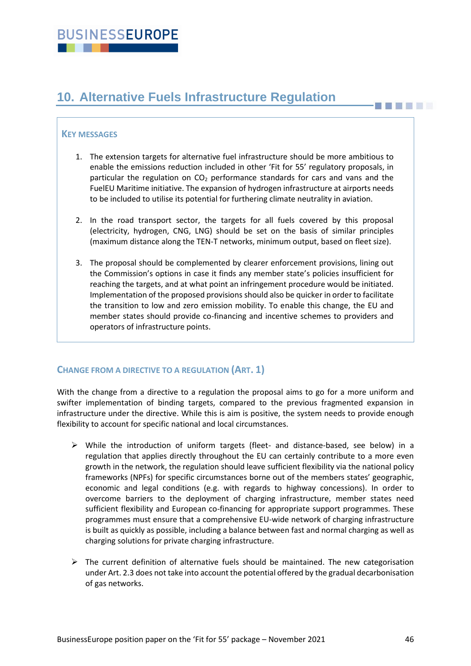# <span id="page-45-0"></span>**10. Alternative Fuels Infrastructure Regulation**

## **KEY MESSAGES**

- 1. The extension targets for alternative fuel infrastructure should be more ambitious to enable the emissions reduction included in other 'Fit for 55' regulatory proposals, in particular the regulation on  $CO<sub>2</sub>$  performance standards for cars and vans and the FuelEU Maritime initiative. The expansion of hydrogen infrastructure at airports needs to be included to utilise its potential for furthering climate neutrality in aviation.
- 2. In the road transport sector, the targets for all fuels covered by this proposal (electricity, hydrogen, CNG, LNG) should be set on the basis of similar principles (maximum distance along the TEN-T networks, minimum output, based on fleet size).
- 3. The proposal should be complemented by clearer enforcement provisions, lining out the Commission's options in case it finds any member state's policies insufficient for reaching the targets, and at what point an infringement procedure would be initiated. Implementation of the proposed provisions should also be quicker in order to facilitate the transition to low and zero emission mobility. To enable this change, the EU and member states should provide co-financing and incentive schemes to providers and operators of infrastructure points.

## **CHANGE FROM A DIRECTIVE TO A REGULATION (ART. 1)**

With the change from a directive to a regulation the proposal aims to go for a more uniform and swifter implementation of binding targets, compared to the previous fragmented expansion in infrastructure under the directive. While this is aim is positive, the system needs to provide enough flexibility to account for specific national and local circumstances.

- ➢ While the introduction of uniform targets (fleet- and distance-based, see below) in a regulation that applies directly throughout the EU can certainly contribute to a more even growth in the network, the regulation should leave sufficient flexibility via the national policy frameworks (NPFs) for specific circumstances borne out of the members states' geographic, economic and legal conditions (e.g. with regards to highway concessions). In order to overcome barriers to the deployment of charging infrastructure, member states need sufficient flexibility and European co-financing for appropriate support programmes. These programmes must ensure that a comprehensive EU-wide network of charging infrastructure is built as quickly as possible, including a balance between fast and normal charging as well as charging solutions for private charging infrastructure.
- $\triangleright$  The current definition of alternative fuels should be maintained. The new categorisation under Art. 2.3 does not take into account the potential offered by the gradual decarbonisation of gas networks.

**BILLER**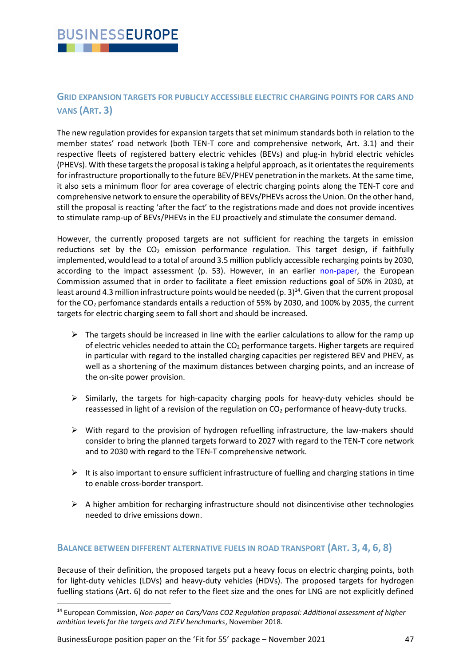## **GRID EXPANSION TARGETS FOR PUBLICLY ACCESSIBLE ELECTRIC CHARGING POINTS FOR CARS AND VANS (ART. 3)**

The new regulation provides for expansion targets that set minimum standards both in relation to the member states' road network (both TEN-T core and comprehensive network, Art. 3.1) and their respective fleets of registered battery electric vehicles (BEVs) and plug-in hybrid electric vehicles (PHEVs). With these targets the proposal is taking a helpful approach, as it orientates the requirements for infrastructure proportionally to the future BEV/PHEV penetration in the markets. At the same time, it also sets a minimum floor for area coverage of electric charging points along the TEN-T core and comprehensive network to ensure the operability of BEVs/PHEVs across the Union. On the other hand, still the proposal is reacting 'after the fact' to the registrations made and does not provide incentives to stimulate ramp-up of BEVs/PHEVs in the EU proactively and stimulate the consumer demand.

However, the currently proposed targets are not sufficient for reaching the targets in emission reductions set by the  $CO<sub>2</sub>$  emission performance regulation. This target design, if faithfully implemented, would lead to a total of around 3.5 million publicly accessible recharging points by 2030, according to the impact assessment (p. 53). However, in an earlier [non-paper,](https://ec.europa.eu/clima/sites/clima/files/transport/vehicles/docs/non_paper_co2_proposal_en.pdf) the European Commission assumed that in order to facilitate a fleet emission reductions goal of 50% in 2030, at least around 4.3 million infrastructure points would be needed (p. 3) $^{14}$ . Given that the current proposal for the CO<sub>2</sub> perfomance standards entails a reduction of 55% by 2030, and 100% by 2035, the current targets for electric charging seem to fall short and should be increased.

- $\triangleright$  The targets should be increased in line with the earlier calculations to allow for the ramp up of electric vehicles needed to attain the  $CO<sub>2</sub>$  performance targets. Higher targets are required in particular with regard to the installed charging capacities per registered BEV and PHEV, as well as a shortening of the maximum distances between charging points, and an increase of the on-site power provision.
- ➢ Similarly, the targets for high-capacity charging pools for heavy-duty vehicles should be reassessed in light of a revision of the regulation on  $CO<sub>2</sub>$  performance of heavy-duty trucks.
- $\triangleright$  With regard to the provision of hydrogen refuelling infrastructure, the law-makers should consider to bring the planned targets forward to 2027 with regard to the TEN-T core network and to 2030 with regard to the TEN-T comprehensive network.
- $\triangleright$  It is also important to ensure sufficient infrastructure of fuelling and charging stations in time to enable cross-border transport.
- $\triangleright$  A higher ambition for recharging infrastructure should not disincentivise other technologies needed to drive emissions down.

## **BALANCE BETWEEN DIFFERENT ALTERNATIVE FUELS IN ROAD TRANSPORT (ART. 3, 4, 6, 8)**

Because of their definition, the proposed targets put a heavy focus on electric charging points, both for light-duty vehicles (LDVs) and heavy-duty vehicles (HDVs). The proposed targets for hydrogen fuelling stations (Art. 6) do not refer to the fleet size and the ones for LNG are not explicitly defined

BusinessEurope position paper on the 'Fit for 55' package – November 2021 47

<sup>14</sup> European Commission, *Non-paper on Cars/Vans CO2 Regulation proposal: Additional assessment of higher ambition levels for the targets and ZLEV benchmarks*, November 2018.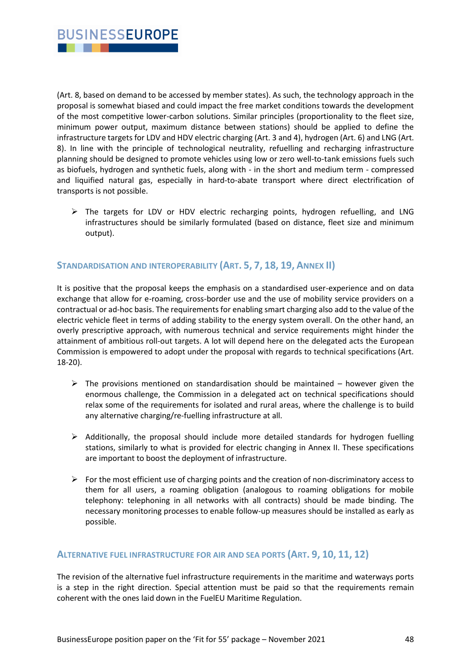

(Art. 8, based on demand to be accessed by member states). As such, the technology approach in the proposal is somewhat biased and could impact the free market conditions towards the development of the most competitive lower-carbon solutions. Similar principles (proportionality to the fleet size, minimum power output, maximum distance between stations) should be applied to define the infrastructure targets for LDV and HDV electric charging (Art. 3 and 4), hydrogen (Art. 6) and LNG (Art. 8). In line with the principle of technological neutrality, refuelling and recharging infrastructure planning should be designed to promote vehicles using low or zero well-to-tank emissions fuels such as biofuels, hydrogen and synthetic fuels, along with - in the short and medium term - compressed and liquified natural gas, especially in hard-to-abate transport where direct electrification of transports is not possible.

 $\triangleright$  The targets for LDV or HDV electric recharging points, hydrogen refuelling, and LNG infrastructures should be similarly formulated (based on distance, fleet size and minimum output).

## **STANDARDISATION AND INTEROPERABILITY (ART. 5, 7, 18, 19, ANNEX II)**

It is positive that the proposal keeps the emphasis on a standardised user-experience and on data exchange that allow for e-roaming, cross-border use and the use of mobility service providers on a contractual or ad-hoc basis. The requirements for enabling smart charging also add to the value of the electric vehicle fleet in terms of adding stability to the energy system overall. On the other hand, an overly prescriptive approach, with numerous technical and service requirements might hinder the attainment of ambitious roll-out targets. A lot will depend here on the delegated acts the European Commission is empowered to adopt under the proposal with regards to technical specifications (Art. 18-20).

- $\triangleright$  The provisions mentioned on standardisation should be maintained however given the enormous challenge, the Commission in a delegated act on technical specifications should relax some of the requirements for isolated and rural areas, where the challenge is to build any alternative charging/re-fuelling infrastructure at all.
- $\triangleright$  Additionally, the proposal should include more detailed standards for hydrogen fuelling stations, similarly to what is provided for electric changing in Annex II. These specifications are important to boost the deployment of infrastructure.
- $\triangleright$  For the most efficient use of charging points and the creation of non-discriminatory access to them for all users, a roaming obligation (analogous to roaming obligations for mobile telephony: telephoning in all networks with all contracts) should be made binding. The necessary monitoring processes to enable follow-up measures should be installed as early as possible.

## **ALTERNATIVE FUEL INFRASTRUCTURE FOR AIR AND SEA PORTS (ART. 9, 10, 11, 12)**

The revision of the alternative fuel infrastructure requirements in the maritime and waterways ports is a step in the right direction. Special attention must be paid so that the requirements remain coherent with the ones laid down in the FuelEU Maritime Regulation.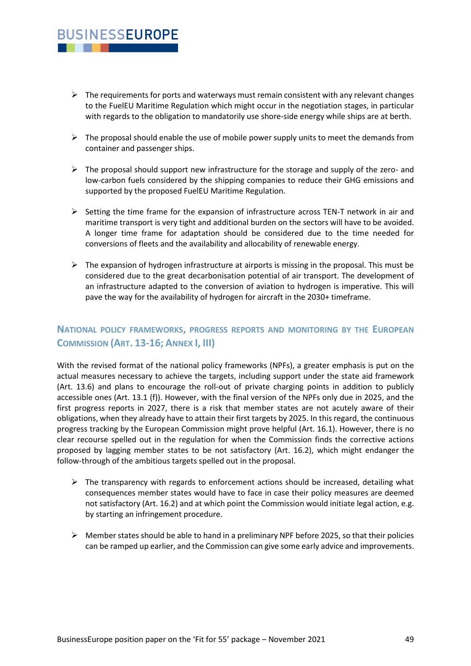## **BUSINESSEUROPE** . . .

- $\triangleright$  The requirements for ports and waterways must remain consistent with any relevant changes to the FuelEU Maritime Regulation which might occur in the negotiation stages, in particular with regards to the obligation to mandatorily use shore-side energy while ships are at berth.
- $\triangleright$  The proposal should enable the use of mobile power supply units to meet the demands from container and passenger ships.
- $\triangleright$  The proposal should support new infrastructure for the storage and supply of the zero- and low-carbon fuels considered by the shipping companies to reduce their GHG emissions and supported by the proposed FuelEU Maritime Regulation.
- $\triangleright$  Setting the time frame for the expansion of infrastructure across TEN-T network in air and maritime transport is very tight and additional burden on the sectors will have to be avoided. A longer time frame for adaptation should be considered due to the time needed for conversions of fleets and the availability and allocability of renewable energy.
- $\triangleright$  The expansion of hydrogen infrastructure at airports is missing in the proposal. This must be considered due to the great decarbonisation potential of air transport. The development of an infrastructure adapted to the conversion of aviation to hydrogen is imperative. This will pave the way for the availability of hydrogen for aircraft in the 2030+ timeframe.

## **NATIONAL POLICY FRAMEWORKS, PROGRESS REPORTS AND MONITORING BY THE EUROPEAN COMMISSION (ART. 13-16; ANNEX I, III)**

With the revised format of the national policy frameworks (NPFs), a greater emphasis is put on the actual measures necessary to achieve the targets, including support under the state aid framework (Art. 13.6) and plans to encourage the roll-out of private charging points in addition to publicly accessible ones (Art. 13.1 (f)). However, with the final version of the NPFs only due in 2025, and the first progress reports in 2027, there is a risk that member states are not acutely aware of their obligations, when they already have to attain their first targets by 2025. In this regard, the continuous progress tracking by the European Commission might prove helpful (Art. 16.1). However, there is no clear recourse spelled out in the regulation for when the Commission finds the corrective actions proposed by lagging member states to be not satisfactory (Art. 16.2), which might endanger the follow-through of the ambitious targets spelled out in the proposal.

- $\triangleright$  The transparency with regards to enforcement actions should be increased, detailing what consequences member states would have to face in case their policy measures are deemed not satisfactory (Art. 16.2) and at which point the Commission would initiate legal action, e.g. by starting an infringement procedure.
- $\triangleright$  Member states should be able to hand in a preliminary NPF before 2025, so that their policies can be ramped up earlier, and the Commission can give some early advice and improvements.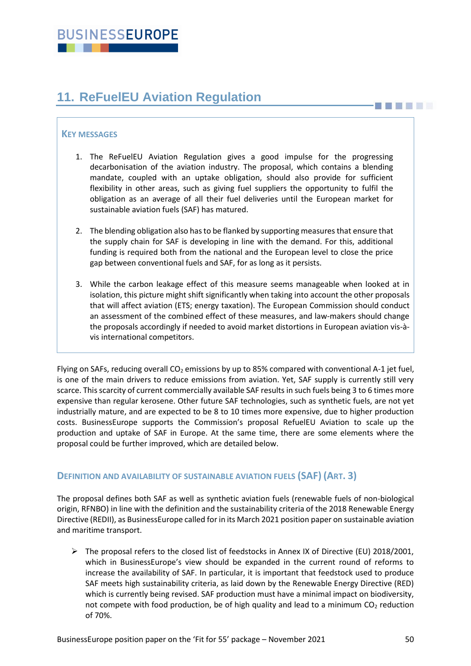# <span id="page-49-0"></span>**11. ReFuelEU Aviation Regulation**

## **KEY MESSAGES**

- 1. The ReFuelEU Aviation Regulation gives a good impulse for the progressing decarbonisation of the aviation industry. The proposal, which contains a blending mandate, coupled with an uptake obligation, should also provide for sufficient flexibility in other areas, such as giving fuel suppliers the opportunity to fulfil the obligation as an average of all their fuel deliveries until the European market for sustainable aviation fuels (SAF) has matured.
- 2. The blending obligation also has to be flanked by supporting measures that ensure that the supply chain for SAF is developing in line with the demand. For this, additional funding is required both from the national and the European level to close the price gap between conventional fuels and SAF, for as long as it persists.
- 3. While the carbon leakage effect of this measure seems manageable when looked at in isolation, this picture might shift significantly when taking into account the other proposals that will affect aviation (ETS; energy taxation). The European Commission should conduct an assessment of the combined effect of these measures, and law-makers should change the proposals accordingly if needed to avoid market distortions in European aviation vis-àvis international competitors.

Flying on SAFs, reducing overall  $CO<sub>2</sub>$  emissions by up to 85% compared with conventional A-1 jet fuel, is one of the main drivers to reduce emissions from aviation. Yet, SAF supply is currently still very scarce. This scarcity of current commercially available SAF results in such fuels being 3 to 6 times more expensive than regular kerosene. Other future SAF technologies, such as synthetic fuels, are not yet industrially mature, and are expected to be 8 to 10 times more expensive, due to higher production costs. BusinessEurope supports the Commission's proposal RefuelEU Aviation to scale up the production and uptake of SAF in Europe. At the same time, there are some elements where the proposal could be further improved, which are detailed below.

## **DEFINITION AND AVAILABILITY OF SUSTAINABLE AVIATION FUELS (SAF) (ART. 3)**

The proposal defines both SAF as well as synthetic aviation fuels (renewable fuels of non-biological origin, RFNBO) in line with the definition and the sustainability criteria of the 2018 Renewable Energy Directive (REDII), as BusinessEurope called for in its March 2021 position paper on sustainable aviation and maritime transport.

➢ The proposal refers to the closed list of feedstocks in Annex IX of Directive (EU) 2018/2001, which in BusinessEurope's view should be expanded in the current round of reforms to increase the availability of SAF. In particular, it is important that feedstock used to produce SAF meets high sustainability criteria, as laid down by the Renewable Energy Directive (RED) which is currently being revised. SAF production must have a minimal impact on biodiversity, not compete with food production, be of high quality and lead to a minimum  $CO<sub>2</sub>$  reduction of 70%.

**THE LET**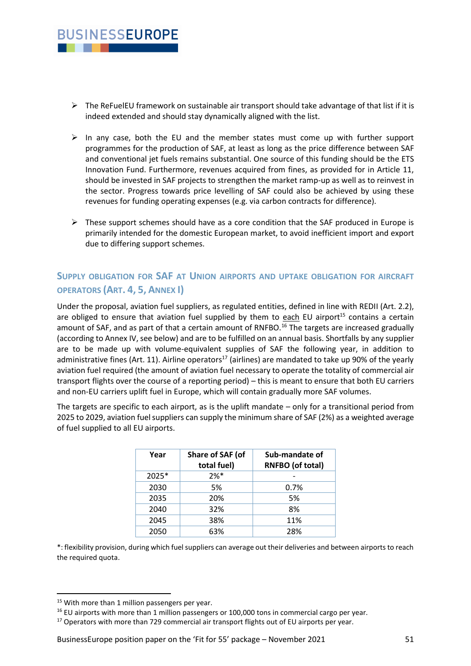

- $\triangleright$  The ReFuelEU framework on sustainable air transport should take advantage of that list if it is indeed extended and should stay dynamically aligned with the list.
- $\triangleright$  In any case, both the EU and the member states must come up with further support programmes for the production of SAF, at least as long as the price difference between SAF and conventional jet fuels remains substantial. One source of this funding should be the ETS Innovation Fund. Furthermore, revenues acquired from fines, as provided for in Article 11, should be invested in SAF projects to strengthen the market ramp-up as well as to reinvest in the sector. Progress towards price levelling of SAF could also be achieved by using these revenues for funding operating expenses (e.g. via carbon contracts for difference).
- $\triangleright$  These support schemes should have as a core condition that the SAF produced in Europe is primarily intended for the domestic European market, to avoid inefficient import and export due to differing support schemes.

## **SUPPLY OBLIGATION FOR SAF AT UNION AIRPORTS AND UPTAKE OBLIGATION FOR AIRCRAFT OPERATORS (ART. 4, 5, ANNEX I)**

Under the proposal, aviation fuel suppliers, as regulated entities, defined in line with REDII (Art. 2.2), are obliged to ensure that aviation fuel supplied by them to each EU airport<sup>15</sup> contains a certain amount of SAF, and as part of that a certain amount of RNFBO.<sup>16</sup> The targets are increased gradually (according to Annex IV, see below) and are to be fulfilled on an annual basis. Shortfalls by any supplier are to be made up with volume-equivalent supplies of SAF the following year, in addition to administrative fines (Art. 11). Airline operators<sup>17</sup> (airlines) are mandated to take up 90% of the yearly aviation fuel required (the amount of aviation fuel necessary to operate the totality of commercial air transport flights over the course of a reporting period) – this is meant to ensure that both EU carriers and non-EU carriers uplift fuel in Europe, which will contain gradually more SAF volumes.

The targets are specific to each airport, as is the uplift mandate – only for a transitional period from 2025 to 2029, aviation fuel suppliers can supply the minimum share of SAF (2%) as a weighted average of fuel supplied to all EU airports.

| Year  | Share of SAF (of<br>total fuel) | Sub-mandate of<br><b>RNFBO</b> (of total) |
|-------|---------------------------------|-------------------------------------------|
| 2025* | $2%$ *                          |                                           |
| 2030  | 5%                              | 0.7%                                      |
| 2035  | 20%                             | 5%                                        |
| 2040  | 32%                             | 8%                                        |
| 2045  | 38%                             | 11%                                       |
| 2050  | 63%                             | 28%                                       |

\*: flexibility provision, during which fuel suppliers can average out their deliveries and between airports to reach the required quota.

<sup>&</sup>lt;sup>15</sup> With more than 1 million passengers per year.

<sup>&</sup>lt;sup>16</sup> EU airports with more than 1 million passengers or 100,000 tons in commercial cargo per year.

 $17$  Operators with more than 729 commercial air transport flights out of EU airports per year.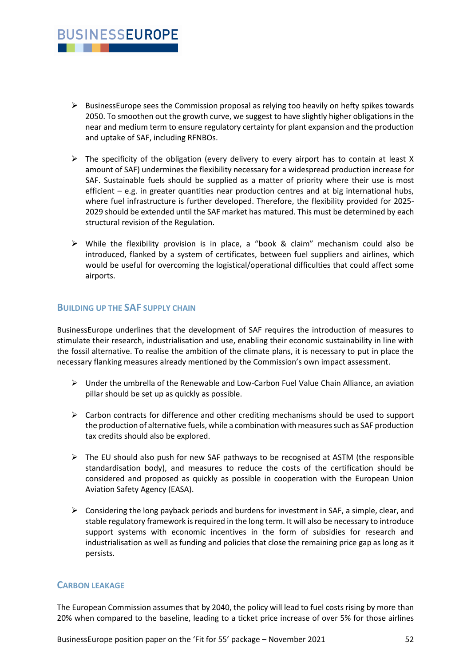

- $\triangleright$  BusinessEurope sees the Commission proposal as relying too heavily on hefty spikes towards 2050. To smoothen out the growth curve, we suggest to have slightly higher obligations in the near and medium term to ensure regulatory certainty for plant expansion and the production and uptake of SAF, including RFNBOs.
- $\triangleright$  The specificity of the obligation (every delivery to every airport has to contain at least X amount of SAF) undermines the flexibility necessary for a widespread production increase for SAF. Sustainable fuels should be supplied as a matter of priority where their use is most efficient – e.g. in greater quantities near production centres and at big international hubs, where fuel infrastructure is further developed. Therefore, the flexibility provided for 2025- 2029 should be extended until the SAF market has matured. This must be determined by each structural revision of the Regulation.
- $\triangleright$  While the flexibility provision is in place, a "book & claim" mechanism could also be introduced, flanked by a system of certificates, between fuel suppliers and airlines, which would be useful for overcoming the logistical/operational difficulties that could affect some airports.

## **BUILDING UP THE SAF SUPPLY CHAIN**

BusinessEurope underlines that the development of SAF requires the introduction of measures to stimulate their research, industrialisation and use, enabling their economic sustainability in line with the fossil alternative. To realise the ambition of the climate plans, it is necessary to put in place the necessary flanking measures already mentioned by the Commission's own impact assessment.

- $\triangleright$  Under the umbrella of the Renewable and Low-Carbon Fuel Value Chain Alliance, an aviation pillar should be set up as quickly as possible.
- $\triangleright$  Carbon contracts for difference and other crediting mechanisms should be used to support the production of alternative fuels, while a combination with measures such as SAF production tax credits should also be explored.
- $\triangleright$  The EU should also push for new SAF pathways to be recognised at ASTM (the responsible standardisation body), and measures to reduce the costs of the certification should be considered and proposed as quickly as possible in cooperation with the European Union Aviation Safety Agency (EASA).
- $\triangleright$  Considering the long payback periods and burdens for investment in SAF, a simple, clear, and stable regulatory framework is required in the long term. It will also be necessary to introduce support systems with economic incentives in the form of subsidies for research and industrialisation as well as funding and policies that close the remaining price gap as long as it persists.

## **CARBON LEAKAGE**

The European Commission assumes that by 2040, the policy will lead to fuel costs rising by more than 20% when compared to the baseline, leading to a ticket price increase of over 5% for those airlines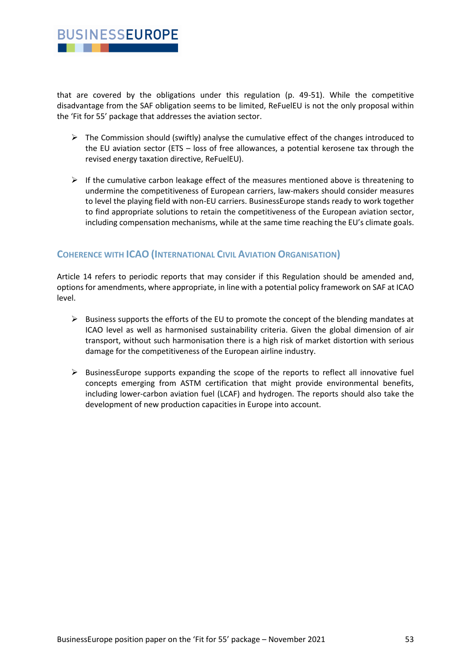

that are covered by the obligations under this regulation (p. 49-51). While the competitive disadvantage from the SAF obligation seems to be limited, ReFuelEU is not the only proposal within the 'Fit for 55' package that addresses the aviation sector.

- $\triangleright$  The Commission should (swiftly) analyse the cumulative effect of the changes introduced to the EU aviation sector (ETS – loss of free allowances, a potential kerosene tax through the revised energy taxation directive, ReFuelEU).
- ➢ If the cumulative carbon leakage effect of the measures mentioned above is threatening to undermine the competitiveness of European carriers, law-makers should consider measures to level the playing field with non-EU carriers. BusinessEurope stands ready to work together to find appropriate solutions to retain the competitiveness of the European aviation sector, including compensation mechanisms, while at the same time reaching the EU's climate goals.

## **COHERENCE WITH ICAO (INTERNATIONAL CIVIL AVIATION ORGANISATION)**

Article 14 refers to periodic reports that may consider if this Regulation should be amended and, options for amendments, where appropriate, in line with a potential policy framework on SAF at ICAO level.

- ➢ Business supports the efforts of the EU to promote the concept of the blending mandates at ICAO level as well as harmonised sustainability criteria. Given the global dimension of air transport, without such harmonisation there is a high risk of market distortion with serious damage for the competitiveness of the European airline industry.
- $\triangleright$  BusinessEurope supports expanding the scope of the reports to reflect all innovative fuel concepts emerging from ASTM certification that might provide environmental benefits, including lower-carbon aviation fuel (LCAF) and hydrogen. The reports should also take the development of new production capacities in Europe into account.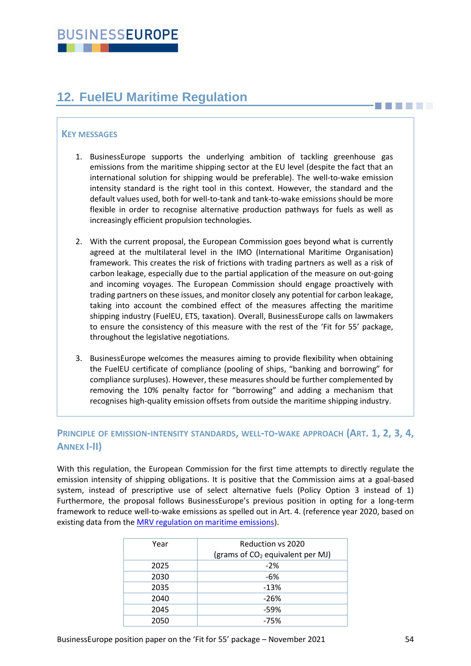# <span id="page-53-0"></span>**12. FuelEU Maritime Regulation**

## **KEY MESSAGES**

- 1. BusinessEurope supports the underlying ambition of tackling greenhouse gas emissions from the maritime shipping sector at the EU level (despite the fact that an international solution for shipping would be preferable). The well-to-wake emission intensity standard is the right tool in this context. However, the standard and the default values used, both for well-to-tank and tank-to-wake emissions should be more flexible in order to recognise alternative production pathways for fuels as well as increasingly efficient propulsion technologies.
- 2. With the current proposal, the European Commission goes beyond what is currently agreed at the multilateral level in the IMO (International Maritime Organisation) framework. This creates the risk of frictions with trading partners as well as a risk of carbon leakage, especially due to the partial application of the measure on out-going and incoming voyages. The European Commission should engage proactively with trading partners on these issues, and monitor closely any potential for carbon leakage, taking into account the combined effect of the measures affecting the maritime shipping industry (FuelEU, ETS, taxation). Overall, BusinessEurope calls on lawmakers to ensure the consistency of this measure with the rest of the 'Fit for 55' package, throughout the legislative negotiations.
- 3. BusinessEurope welcomes the measures aiming to provide flexibility when obtaining the FuelEU certificate of compliance (pooling of ships, "banking and borrowing" for compliance surpluses). However, these measures should be further complemented by removing the 10% penalty factor for "borrowing" and adding a mechanism that recognises high-quality emission offsets from outside the maritime shipping industry.

## **PRINCIPLE OF EMISSION-INTENSITY STANDARDS, WELL-TO-WAKE APPROACH (ART. 1, 2, 3, 4, ANNEX I-II)**

With this regulation, the European Commission for the first time attempts to directly regulate the emission intensity of shipping obligations. It is positive that the Commission aims at a goal-based system, instead of prescriptive use of select alternative fuels (Policy Option 3 instead of 1) Furthermore, the proposal follows BusinessEurope's previous position in opting for a long-term framework to reduce well-to-wake emissions as spelled out in Art. 4. (reference year 2020, based on existing data from the [MRV regulation on maritime emissions\)](https://eur-lex.europa.eu/legal-content/EN/TXT/?uri=CELEX:02015R0757-20161216).

| Year | Reduction vs 2020                            |
|------|----------------------------------------------|
|      | (grams of CO <sub>2</sub> equivalent per MJ) |
| 2025 | $-2%$                                        |
| 2030 | $-6%$                                        |
| 2035 | $-13%$                                       |
| 2040 | $-26%$                                       |
| 2045 | $-59%$                                       |
| 2050 | $-75%$                                       |

**BILLER**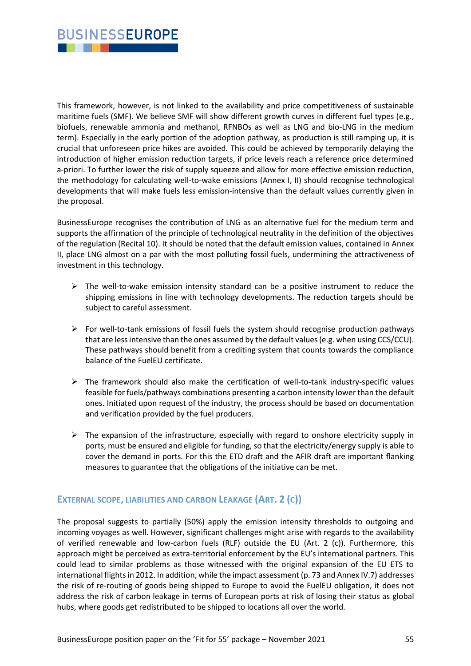

This framework, however, is not linked to the availability and price competitiveness of sustainable maritime fuels (SMF). We believe SMF will show different growth curves in different fuel types (e.g., biofuels, renewable ammonia and methanol, RFNBOs as well as LNG and bio-LNG in the medium term). Especially in the early portion of the adoption pathway, as production is still ramping up, it is crucial that unforeseen price hikes are avoided. This could be achieved by temporarily delaying the introduction of higher emission reduction targets, if price levels reach a reference price determined a-priori. To further lower the risk of supply squeeze and allow for more effective emission reduction, the methodology for calculating well-to-wake emissions (Annex I, II) should recognise technological developments that will make fuels less emission-intensive than the default values currently given in the proposal.

BusinessEurope recognises the contribution of LNG as an alternative fuel for the medium term and supports the affirmation of the principle of technological neutrality in the definition of the objectives of the regulation (Recital 10). It should be noted that the default emission values, contained in Annex II, place LNG almost on a par with the most polluting fossil fuels, undermining the attractiveness of investment in this technology.

- $\triangleright$  The well-to-wake emission intensity standard can be a positive instrument to reduce the shipping emissions in line with technology developments. The reduction targets should be subject to careful assessment.
- $\triangleright$  For well-to-tank emissions of fossil fuels the system should recognise production pathways that are less intensive than the ones assumed by the default values (e.g. when using CCS/CCU). These pathways should benefit from a crediting system that counts towards the compliance balance of the FuelEU certificate.
- ➢ The framework should also make the certification of well-to-tank industry-specific values feasible for fuels/pathways combinations presenting a carbon intensity lower than the default ones. Initiated upon request of the industry, the process should be based on documentation and verification provided by the fuel producers.
- $\triangleright$  The expansion of the infrastructure, especially with regard to onshore electricity supply in ports, must be ensured and eligible for funding, so that the electricity/energy supply is able to cover the demand in ports. For this the ETD draft and the AFIR draft are important flanking measures to guarantee that the obligations of the initiative can be met.

## **EXTERNAL SCOPE, LIABILITIES AND CARBON LEAKAGE (ART. 2 (C))**

The proposal suggests to partially (50%) apply the emission intensity thresholds to outgoing and incoming voyages as well. However, significant challenges might arise with regards to the availability of verified renewable and low-carbon fuels (RLF) outside the EU (Art. 2 (c)). Furthermore, this approach might be perceived as extra-territorial enforcement by the EU's international partners. This could lead to similar problems as those witnessed with the original expansion of the EU ETS to international flights in 2012. In addition, while the impact assessment (p. 73 and Annex IV.7) addresses the risk of re-routing of goods being shipped to Europe to avoid the FuelEU obligation, it does not address the risk of carbon leakage in terms of European ports at risk of losing their status as global hubs, where goods get redistributed to be shipped to locations all over the world.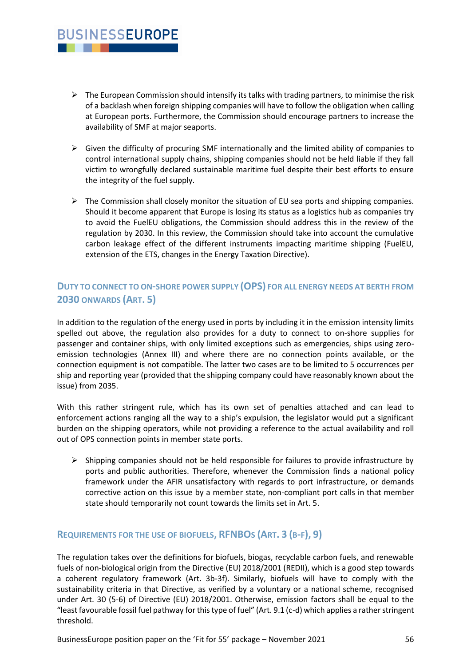## $\triangleright$  The European Commission should intensify its talks with trading partners, to minimise the risk of a backlash when foreign shipping companies will have to follow the obligation when calling at European ports. Furthermore, the Commission should encourage partners to increase the availability of SMF at major seaports.

**BUSINESSEUROPE** 

. . .

- $\triangleright$  Given the difficulty of procuring SMF internationally and the limited ability of companies to control international supply chains, shipping companies should not be held liable if they fall victim to wrongfully declared sustainable maritime fuel despite their best efforts to ensure the integrity of the fuel supply.
- $\triangleright$  The Commission shall closely monitor the situation of EU sea ports and shipping companies. Should it become apparent that Europe is losing its status as a logistics hub as companies try to avoid the FuelEU obligations, the Commission should address this in the review of the regulation by 2030. In this review, the Commission should take into account the cumulative carbon leakage effect of the different instruments impacting maritime shipping (FuelEU, extension of the ETS, changes in the Energy Taxation Directive).

## **DUTY TO CONNECT TO ON-SHORE POWER SUPPLY (OPS) FOR ALL ENERGY NEEDS AT BERTH FROM 2030 ONWARDS (ART. 5)**

In addition to the regulation of the energy used in ports by including it in the emission intensity limits spelled out above, the regulation also provides for a duty to connect to on-shore supplies for passenger and container ships, with only limited exceptions such as emergencies, ships using zeroemission technologies (Annex III) and where there are no connection points available, or the connection equipment is not compatible. The latter two cases are to be limited to 5 occurrences per ship and reporting year (provided that the shipping company could have reasonably known about the issue) from 2035.

With this rather stringent rule, which has its own set of penalties attached and can lead to enforcement actions ranging all the way to a ship's expulsion, the legislator would put a significant burden on the shipping operators, while not providing a reference to the actual availability and roll out of OPS connection points in member state ports.

 $\triangleright$  Shipping companies should not be held responsible for failures to provide infrastructure by ports and public authorities. Therefore, whenever the Commission finds a national policy framework under the AFIR unsatisfactory with regards to port infrastructure, or demands corrective action on this issue by a member state, non-compliant port calls in that member state should temporarily not count towards the limits set in Art. 5.

## **REQUIREMENTS FOR THE USE OF BIOFUELS, RFNBOS (ART. 3 (B-F), 9)**

The regulation takes over the definitions for biofuels, biogas, recyclable carbon fuels, and renewable fuels of non-biological origin from the Directive (EU) 2018/2001 (REDII), which is a good step towards a coherent regulatory framework (Art. 3b-3f). Similarly, biofuels will have to comply with the sustainability criteria in that Directive, as verified by a voluntary or a national scheme, recognised under Art. 30 (5-6) of Directive (EU) 2018/2001. Otherwise, emission factors shall be equal to the "least favourable fossil fuel pathway for this type of fuel" (Art. 9.1 (c-d) which applies a rather stringent threshold.